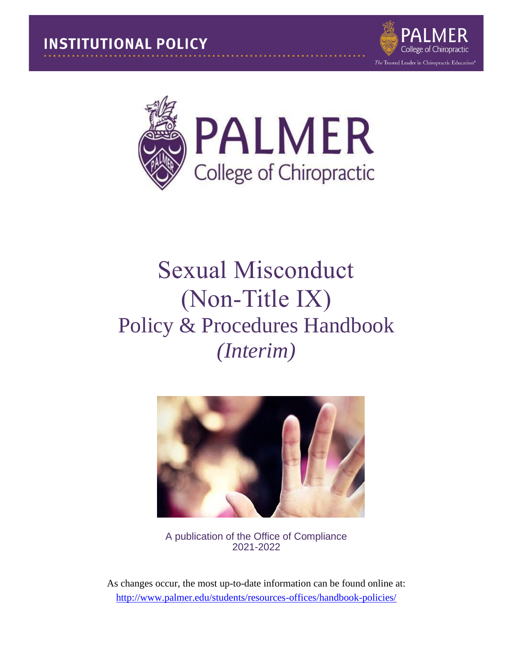



# Sexual Misconduct (Non-Title IX) Policy & Procedures Handbook *(Interim)*



A publication of the Office of Compliance 2021-2022

As changes occur, the most up-to-date information can be found online at: <http://www.palmer.edu/students/resources-offices/handbook-policies/>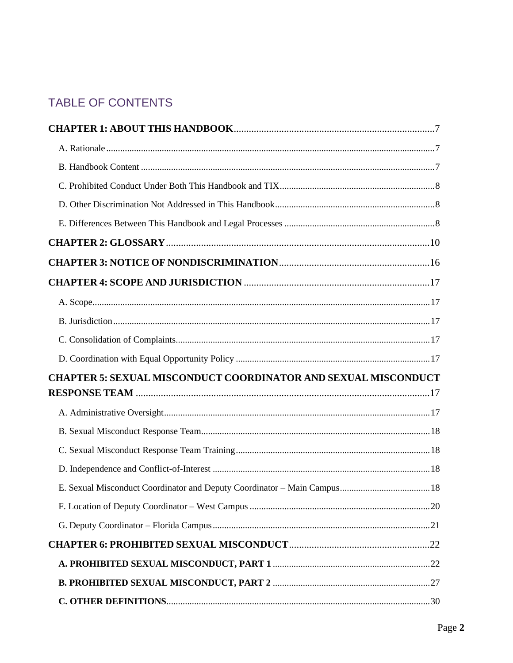# TABLE OF CONTENTS

| <b>CHAPTER 5: SEXUAL MISCONDUCT COORDINATOR AND SEXUAL MISCONDUCT</b> |  |
|-----------------------------------------------------------------------|--|
|                                                                       |  |
|                                                                       |  |
|                                                                       |  |
|                                                                       |  |
|                                                                       |  |
|                                                                       |  |
|                                                                       |  |
|                                                                       |  |
|                                                                       |  |
|                                                                       |  |
|                                                                       |  |
|                                                                       |  |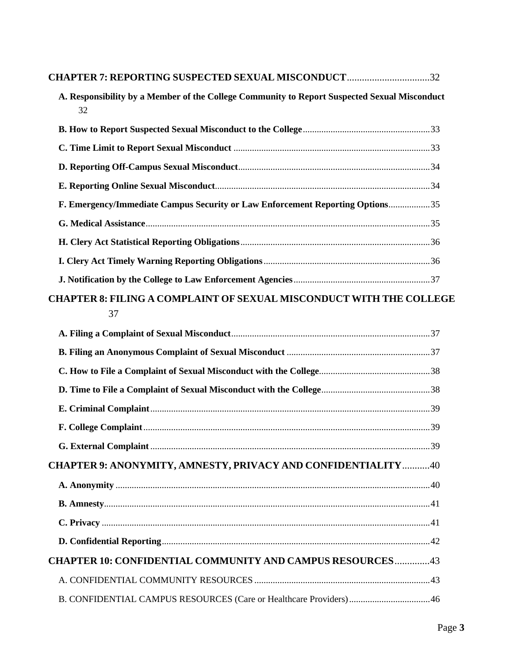| <b>CHAPTER 7: REPORTING SUSPECTED SEXUAL MISCONDUCT32</b>                                          |  |
|----------------------------------------------------------------------------------------------------|--|
| A. Responsibility by a Member of the College Community to Report Suspected Sexual Misconduct<br>32 |  |
|                                                                                                    |  |
|                                                                                                    |  |
|                                                                                                    |  |
|                                                                                                    |  |
| F. Emergency/Immediate Campus Security or Law Enforcement Reporting Options35                      |  |
|                                                                                                    |  |
|                                                                                                    |  |
|                                                                                                    |  |
|                                                                                                    |  |
| <b>CHAPTER 8: FILING A COMPLAINT OF SEXUAL MISCONDUCT WITH THE COLLEGE</b><br>37                   |  |
|                                                                                                    |  |
|                                                                                                    |  |
|                                                                                                    |  |
|                                                                                                    |  |
|                                                                                                    |  |
|                                                                                                    |  |
|                                                                                                    |  |
| <b>CHAPTER 9: ANONYMITY, AMNESTY, PRIVACY AND CONFIDENTIALITY 40</b>                               |  |
|                                                                                                    |  |
|                                                                                                    |  |
|                                                                                                    |  |
|                                                                                                    |  |
| <b>CHAPTER 10: CONFIDENTIAL COMMUNITY AND CAMPUS RESOURCES43</b>                                   |  |
|                                                                                                    |  |
| B. CONFIDENTIAL CAMPUS RESOURCES (Care or Healthcare Providers)46                                  |  |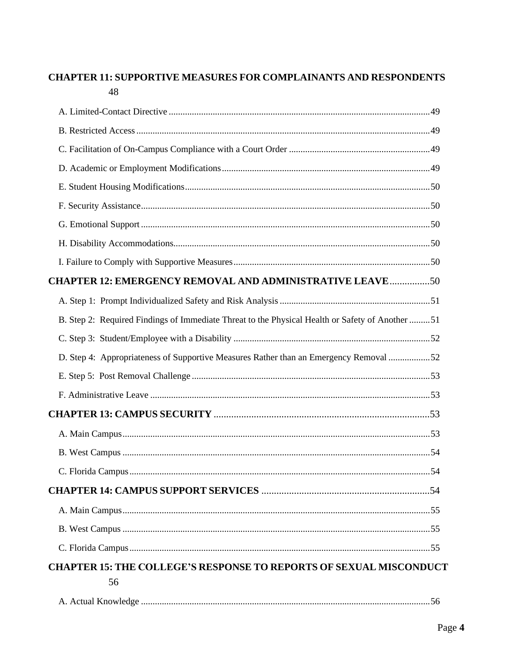### **CHAPTER 11: SUPPORTIVE MEASURES FOR COMPLAINANTS AND RESPONDENTS** 48

| <b>CHAPTER 12: EMERGENCY REMOVAL AND ADMINISTRATIVE LEAVE 50</b>                                |  |
|-------------------------------------------------------------------------------------------------|--|
|                                                                                                 |  |
| B. Step 2: Required Findings of Immediate Threat to the Physical Health or Safety of Another 51 |  |
|                                                                                                 |  |
| D. Step 4: Appropriateness of Supportive Measures Rather than an Emergency Removal 52           |  |
|                                                                                                 |  |
|                                                                                                 |  |
|                                                                                                 |  |
|                                                                                                 |  |
|                                                                                                 |  |
|                                                                                                 |  |
|                                                                                                 |  |
|                                                                                                 |  |
|                                                                                                 |  |
|                                                                                                 |  |
| <b>CHAPTER 15: THE COLLEGE'S RESPONSE TO REPORTS OF SEXUAL MISCONDUCT</b>                       |  |
| 56                                                                                              |  |
|                                                                                                 |  |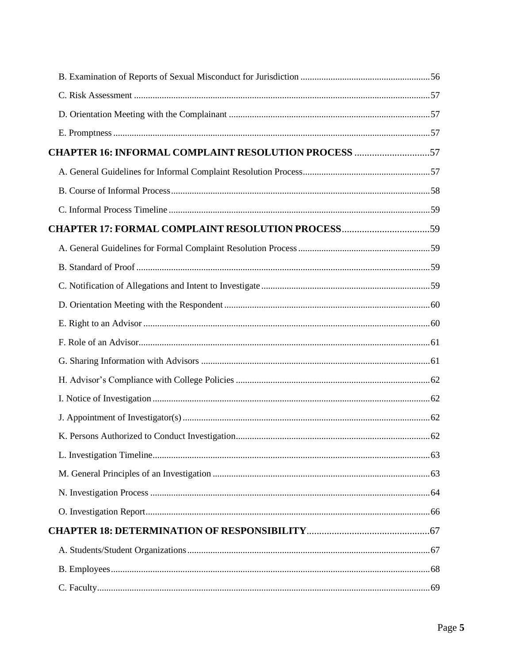| <b>CHAPTER 16: INFORMAL COMPLAINT RESOLUTION PROCESS 57</b> |  |
|-------------------------------------------------------------|--|
|                                                             |  |
|                                                             |  |
|                                                             |  |
| <b>CHAPTER 17: FORMAL COMPLAINT RESOLUTION PROCESS59</b>    |  |
|                                                             |  |
|                                                             |  |
|                                                             |  |
|                                                             |  |
|                                                             |  |
|                                                             |  |
|                                                             |  |
|                                                             |  |
|                                                             |  |
|                                                             |  |
|                                                             |  |
|                                                             |  |
|                                                             |  |
|                                                             |  |
|                                                             |  |
|                                                             |  |
|                                                             |  |
|                                                             |  |
|                                                             |  |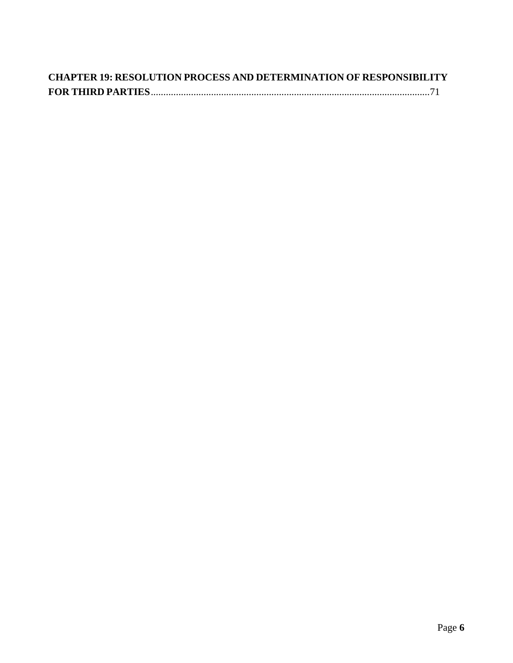| <b>CHAPTER 19: RESOLUTION PROCESS AND DETERMINATION OF RESPONSIBILITY</b> |  |
|---------------------------------------------------------------------------|--|
|                                                                           |  |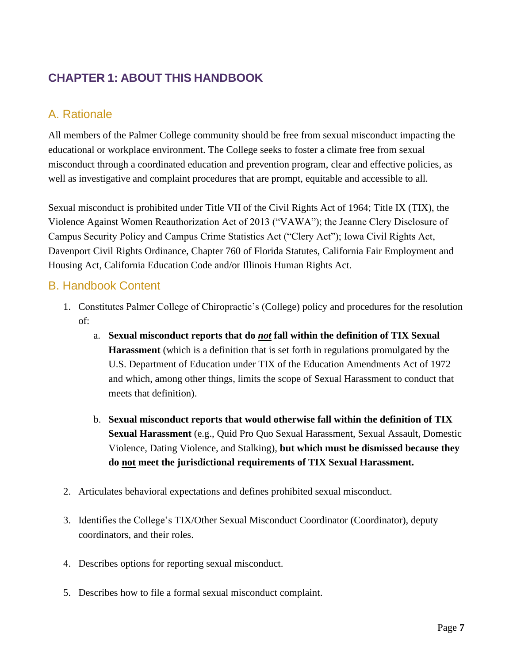# <span id="page-6-0"></span>**CHAPTER 1: ABOUT THIS HANDBOOK**

# <span id="page-6-1"></span>A. Rationale

All members of the Palmer College community should be free from sexual misconduct impacting the educational or workplace environment. The College seeks to foster a climate free from sexual misconduct through a coordinated education and prevention program, clear and effective policies, as well as investigative and complaint procedures that are prompt, equitable and accessible to all.

Sexual misconduct is prohibited under Title VII of the Civil Rights Act of 1964; Title IX (TIX), the Violence Against Women Reauthorization Act of 2013 ("VAWA"); the Jeanne Clery Disclosure of Campus Security Policy and Campus Crime Statistics Act ("Clery Act"); Iowa Civil Rights Act, Davenport Civil Rights Ordinance, Chapter 760 of Florida Statutes, California Fair Employment and Housing Act, California Education Code and/or Illinois Human Rights Act.

### <span id="page-6-2"></span>B. Handbook Content

- 1. Constitutes Palmer College of Chiropractic's (College) policy and procedures for the resolution of:
	- a. **Sexual misconduct reports that do** *not* **fall within the definition of TIX Sexual Harassment** (which is a definition that is set forth in regulations promulgated by the U.S. Department of Education under TIX of the Education Amendments Act of 1972 and which, among other things, limits the scope of Sexual Harassment to conduct that meets that definition).
	- b. **Sexual misconduct reports that would otherwise fall within the definition of TIX Sexual Harassment** (e.g., Quid Pro Quo Sexual Harassment, Sexual Assault, Domestic Violence, Dating Violence, and Stalking), **but which must be dismissed because they do not meet the jurisdictional requirements of TIX Sexual Harassment.**
- 2. Articulates behavioral expectations and defines prohibited sexual misconduct.
- 3. Identifies the College's TIX/Other Sexual Misconduct Coordinator (Coordinator), deputy coordinators, and their roles.
- 4. Describes options for reporting sexual misconduct.
- 5. Describes how to file a formal sexual misconduct complaint.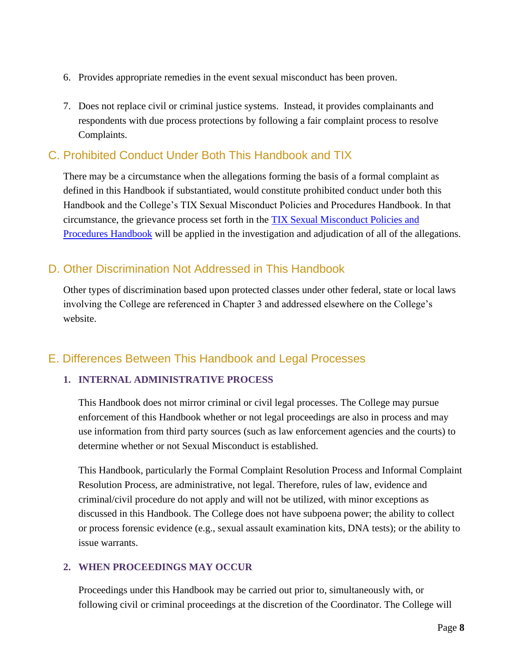- 6. Provides appropriate remedies in the event sexual misconduct has been proven.
- 7. Does not replace civil or criminal justice systems. Instead, it provides complainants and respondents with due process protections by following a fair complaint process to resolve Complaints.

### <span id="page-7-0"></span>C. Prohibited Conduct Under Both This Handbook and TIX

There may be a circumstance when the allegations forming the basis of a formal complaint as defined in this Handbook if substantiated, would constitute prohibited conduct under both this Handbook and the College's TIX Sexual Misconduct Policies and Procedures Handbook. In that circumstance, the grievance process set forth in the [TIX Sexual Misconduct Policies and](https://www.palmer.edu/getmedia/59fa021d-723e-4336-a405-d23fe0b69ee2/ip-title-ix-sexual-harssment-policy-handbook-2020.pdf)  [Procedures Handbook](https://www.palmer.edu/getmedia/59fa021d-723e-4336-a405-d23fe0b69ee2/ip-title-ix-sexual-harssment-policy-handbook-2020.pdf) will be applied in the investigation and adjudication of all of the allegations.

### <span id="page-7-1"></span>D. Other Discrimination Not Addressed in This Handbook

Other types of discrimination based upon protected classes under other federal, state or local laws involving the College are referenced in Chapter 3 and addressed elsewhere on the College's website.

### <span id="page-7-2"></span>E. Differences Between This Handbook and Legal Processes

#### **1. INTERNAL ADMINISTRATIVE PROCESS**

This Handbook does not mirror criminal or civil legal processes. The College may pursue enforcement of this Handbook whether or not legal proceedings are also in process and may use information from third party sources (such as law enforcement agencies and the courts) to determine whether or not Sexual Misconduct is established.

This Handbook, particularly the Formal Complaint Resolution Process and Informal Complaint Resolution Process, are administrative, not legal. Therefore, rules of law, evidence and criminal/civil procedure do not apply and will not be utilized, with minor exceptions as discussed in this Handbook. The College does not have subpoena power; the ability to collect or process forensic evidence (e.g., sexual assault examination kits, DNA tests); or the ability to issue warrants.

#### **2. WHEN PROCEEDINGS MAY OCCUR**

Proceedings under this Handbook may be carried out prior to, simultaneously with, or following civil or criminal proceedings at the discretion of the Coordinator. The College will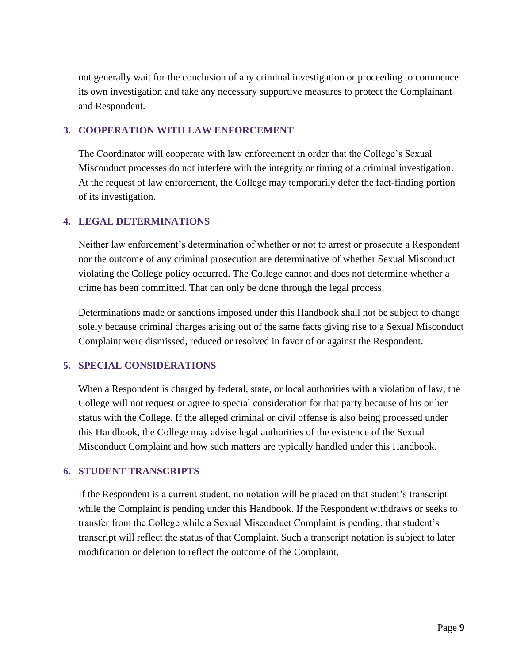not generally wait for the conclusion of any criminal investigation or proceeding to commence its own investigation and take any necessary supportive measures to protect the Complainant and Respondent.

#### **3. COOPERATION WITH LAW ENFORCEMENT**

The Coordinator will cooperate with law enforcement in order that the College's Sexual Misconduct processes do not interfere with the integrity or timing of a criminal investigation. At the request of law enforcement, the College may temporarily defer the fact-finding portion of its investigation.

#### **4. LEGAL DETERMINATIONS**

Neither law enforcement's determination of whether or not to arrest or prosecute a Respondent nor the outcome of any criminal prosecution are determinative of whether Sexual Misconduct violating the College policy occurred. The College cannot and does not determine whether a crime has been committed. That can only be done through the legal process.

Determinations made or sanctions imposed under this Handbook shall not be subject to change solely because criminal charges arising out of the same facts giving rise to a Sexual Misconduct Complaint were dismissed, reduced or resolved in favor of or against the Respondent.

#### **5. SPECIAL CONSIDERATIONS**

When a Respondent is charged by federal, state, or local authorities with a violation of law, the College will not request or agree to special consideration for that party because of his or her status with the College. If the alleged criminal or civil offense is also being processed under this Handbook, the College may advise legal authorities of the existence of the Sexual Misconduct Complaint and how such matters are typically handled under this Handbook.

#### **6. STUDENT TRANSCRIPTS**

If the Respondent is a current student, no notation will be placed on that student's transcript while the Complaint is pending under this Handbook. If the Respondent withdraws or seeks to transfer from the College while a Sexual Misconduct Complaint is pending, that student's transcript will reflect the status of that Complaint. Such a transcript notation is subject to later modification or deletion to reflect the outcome of the Complaint.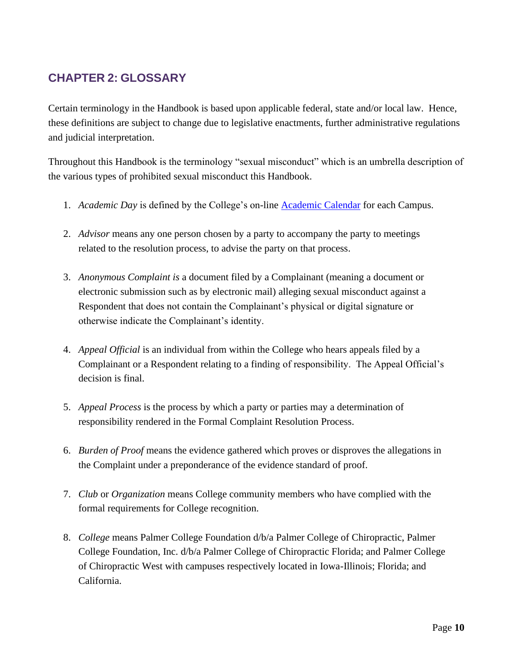# <span id="page-9-0"></span>**CHAPTER 2: GLOSSARY**

Certain terminology in the Handbook is based upon applicable federal, state and/or local law. Hence, these definitions are subject to change due to legislative enactments, further administrative regulations and judicial interpretation.

Throughout this Handbook is the terminology "sexual misconduct" which is an umbrella description of the various types of prohibited sexual misconduct this Handbook.

- 1. *Academic Day* is defined by the College's on-line [Academic Calendar](https://www.palmer.edu/academics/academic-calendar/) for each Campus.
- 2. *Advisor* means any one person chosen by a party to accompany the party to meetings related to the resolution process, to advise the party on that process.
- 3. *Anonymous Complaint is* a document filed by a Complainant (meaning a document or electronic submission such as by electronic mail) alleging sexual misconduct against a Respondent that does not contain the Complainant's physical or digital signature or otherwise indicate the Complainant's identity.
- 4. *Appeal Official* is an individual from within the College who hears appeals filed by a Complainant or a Respondent relating to a finding of responsibility. The Appeal Official's decision is final.
- 5. *Appeal Process* is the process by which a party or parties may a determination of responsibility rendered in the Formal Complaint Resolution Process.
- 6. *Burden of Proof* means the evidence gathered which proves or disproves the allegations in the Complaint under a preponderance of the evidence standard of proof.
- 7. *Club* or *Organization* means College community members who have complied with the formal requirements for College recognition.
- 8. *College* means Palmer College Foundation d/b/a Palmer College of Chiropractic, Palmer College Foundation, Inc. d/b/a Palmer College of Chiropractic Florida; and Palmer College of Chiropractic West with campuses respectively located in Iowa-Illinois; Florida; and California.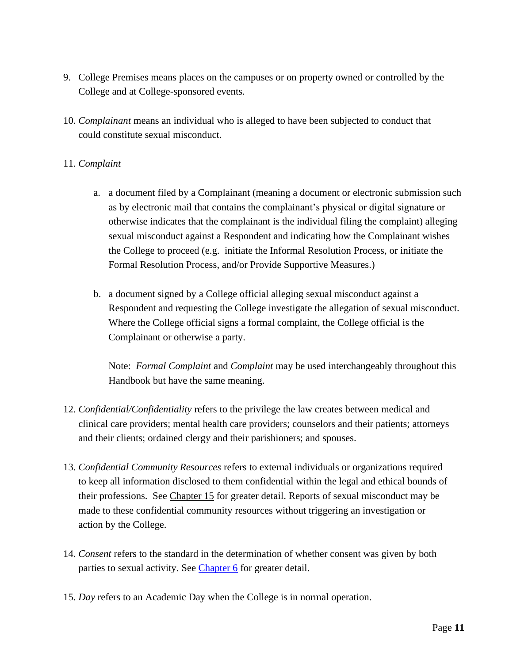- 9. College Premises means places on the campuses or on property owned or controlled by the College and at College-sponsored events.
- 10. *Complainant* means an individual who is alleged to have been subjected to conduct that could constitute sexual misconduct.

#### 11. *Complaint*

- a. a document filed by a Complainant (meaning a document or electronic submission such as by electronic mail that contains the complainant's physical or digital signature or otherwise indicates that the complainant is the individual filing the complaint) alleging sexual misconduct against a Respondent and indicating how the Complainant wishes the College to proceed (e.g. initiate the Informal Resolution Process, or initiate the Formal Resolution Process, and/or Provide Supportive Measures.)
- b. a document signed by a College official alleging sexual misconduct against a Respondent and requesting the College investigate the allegation of sexual misconduct. Where the College official signs a formal complaint, the College official is the Complainant or otherwise a party.

Note: *Formal Complaint* and *Complaint* may be used interchangeably throughout this Handbook but have the same meaning.

- 12. *Confidential/Confidentiality* refers to the privilege the law creates between medical and clinical care providers; mental health care providers; counselors and their patients; attorneys and their clients; ordained clergy and their parishioners; and spouses.
- 13. *Confidential Community Resources* refers to external individuals or organizations required to keep all information disclosed to them confidential within the legal and ethical bounds of their professions. See [Chapter](#page-55-0) 15 for greater detail. Reports of sexual misconduct may be made to these confidential community resources without triggering an investigation or action by the College.
- 14. *Consent* refers to the standard in the determination of whether consent was given by both parties to sexual activity. See [Chapter 6](#page-21-0) for greater detail.
- 15. *Day* refers to an Academic Day when the College is in normal operation.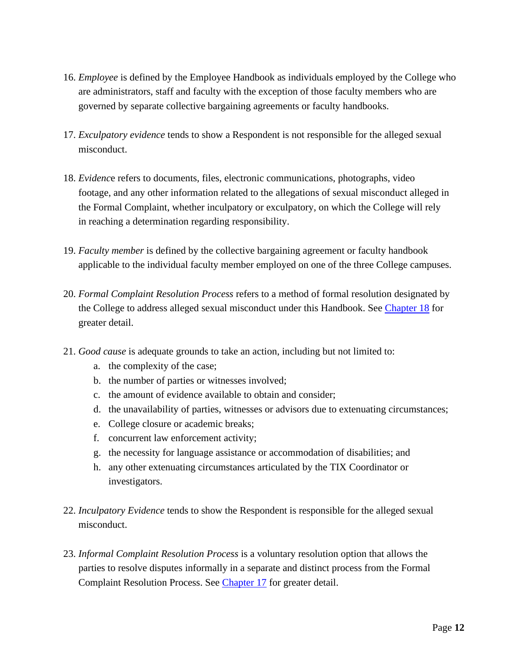- 16. *Employee* is defined by the Employee Handbook as individuals employed by the College who are administrators, staff and faculty with the exception of those faculty members who are governed by separate collective bargaining agreements or faculty handbooks.
- 17. *Exculpatory evidence* tends to show a Respondent is not responsible for the alleged sexual misconduct.
- 18. *Evidenc*e refers to documents, files, electronic communications, photographs, video footage, and any other information related to the allegations of sexual misconduct alleged in the Formal Complaint, whether inculpatory or exculpatory, on which the College will rely in reaching a determination regarding responsibility.
- 19. *Faculty member* is defined by the collective bargaining agreement or faculty handbook applicable to the individual faculty member employed on one of the three College campuses.
- 20. *Formal Complaint Resolution Process* refers to a method of formal resolution designated by the College to address alleged sexual misconduct under this Handbook. See [Chapter 18](#page-58-1) for greater detail.
- 21. *Good cause* is adequate grounds to take an action, including but not limited to:
	- a. the complexity of the case;
	- b. the number of parties or witnesses involved;
	- c. the amount of evidence available to obtain and consider;
	- d. the unavailability of parties, witnesses or advisors due to extenuating circumstances;
	- e. College closure or academic breaks;
	- f. concurrent law enforcement activity;
	- g. the necessity for language assistance or accommodation of disabilities; and
	- h. any other extenuating circumstances articulated by the TIX Coordinator or investigators.
- 22. *Inculpatory Evidence* tends to show the Respondent is responsible for the alleged sexual misconduct.
- 23. *Informal Complaint Resolution Process* is a voluntary resolution option that allows the parties to resolve disputes informally in a separate and distinct process from the Formal Complaint Resolution Process. See [Chapter 17](#page-56-3) for greater detail.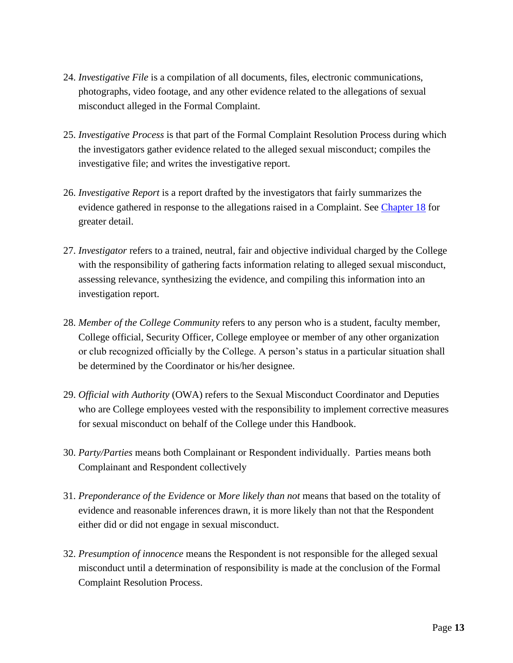- 24. *Investigative File* is a compilation of all documents, files, electronic communications, photographs, video footage, and any other evidence related to the allegations of sexual misconduct alleged in the Formal Complaint.
- 25. *Investigative Process* is that part of the Formal Complaint Resolution Process during which the investigators gather evidence related to the alleged sexual misconduct; compiles the investigative file; and writes the investigative report.
- 26. *Investigative Report* is a report drafted by the investigators that fairly summarizes the evidence gathered in response to the allegations raised in a Complaint. See [Chapter 18](#page-65-0) for greater detail.
- 27. *Investigator* refers to a trained, neutral, fair and objective individual charged by the College with the responsibility of gathering facts information relating to alleged sexual misconduct, assessing relevance, synthesizing the evidence, and compiling this information into an investigation report.
- 28. *Member of the College Community* refers to any person who is a student, faculty member, College official, Security Officer, College employee or member of any other organization or club recognized officially by the College. A person's status in a particular situation shall be determined by the Coordinator or his/her designee.
- 29. *Official with Authority* (OWA) refers to the Sexual Misconduct Coordinator and Deputies who are College employees vested with the responsibility to implement corrective measures for sexual misconduct on behalf of the College under this Handbook.
- 30. *Party/Parties* means both Complainant or Respondent individually. Parties means both Complainant and Respondent collectively
- 31. *Preponderance of the Evidence* or *More likely than not* means that based on the totality of evidence and reasonable inferences drawn, it is more likely than not that the Respondent either did or did not engage in sexual misconduct.
- 32. *Presumption of innocence* means the Respondent is not responsible for the alleged sexual misconduct until a determination of responsibility is made at the conclusion of the Formal Complaint Resolution Process.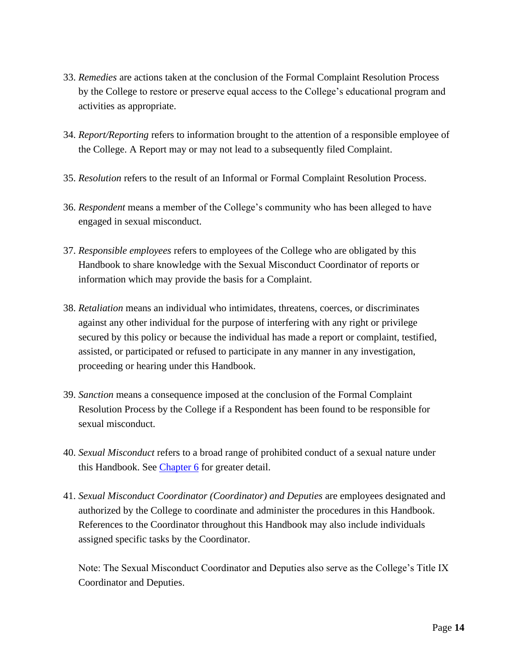- 33. *Remedies* are actions taken at the conclusion of the Formal Complaint Resolution Process by the College to restore or preserve equal access to the College's educational program and activities as appropriate.
- 34. *Report/Reporting* refers to information brought to the attention of a responsible employee of the College. A Report may or may not lead to a subsequently filed Complaint.
- 35. *Resolution* refers to the result of an Informal or Formal Complaint Resolution Process.
- 36. *Respondent* means a member of the College's community who has been alleged to have engaged in sexual misconduct.
- 37. *Responsible employees* refers to employees of the College who are obligated by this Handbook to share knowledge with the Sexual Misconduct Coordinator of reports or information which may provide the basis for a Complaint.
- 38. *Retaliation* means an individual who intimidates, threatens, coerces, or discriminates against any other individual for the purpose of interfering with any right or privilege secured by this policy or because the individual has made a report or complaint, testified, assisted, or participated or refused to participate in any manner in any investigation, proceeding or hearing under this Handbook.
- 39. *Sanction* means a consequence imposed at the conclusion of the Formal Complaint Resolution Process by the College if a Respondent has been found to be responsible for sexual misconduct.
- 40. *Sexual Misconduct* refers to a broad range of prohibited conduct of a sexual nature under this Handbook. See [Chapter 6](#page-21-0) for greater detail.
- 41. *Sexual Misconduct Coordinator (Coordinator) and Deputies* are employees designated and authorized by the College to coordinate and administer the procedures in this Handbook. References to the Coordinator throughout this Handbook may also include individuals assigned specific tasks by the Coordinator.

Note: The Sexual Misconduct Coordinator and Deputies also serve as the College's Title IX Coordinator and Deputies.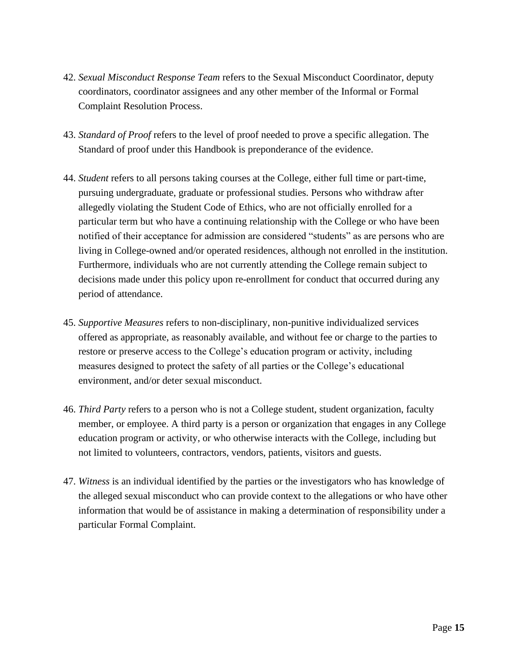- 42. *Sexual Misconduct Response Team* refers to the Sexual Misconduct Coordinator, deputy coordinators, coordinator assignees and any other member of the Informal or Formal Complaint Resolution Process.
- 43. *Standard of Proof* refers to the level of proof needed to prove a specific allegation. The Standard of proof under this Handbook is preponderance of the evidence.
- 44. *Student* refers to all persons taking courses at the College, either full time or part-time, pursuing undergraduate, graduate or professional studies. Persons who withdraw after allegedly violating the Student Code of Ethics, who are not officially enrolled for a particular term but who have a continuing relationship with the College or who have been notified of their acceptance for admission are considered "students" as are persons who are living in College-owned and/or operated residences, although not enrolled in the institution. Furthermore, individuals who are not currently attending the College remain subject to decisions made under this policy upon re-enrollment for conduct that occurred during any period of attendance.
- 45. *Supportive Measures* refers to non-disciplinary, non-punitive individualized services offered as appropriate, as reasonably available, and without fee or charge to the parties to restore or preserve access to the College's education program or activity, including measures designed to protect the safety of all parties or the College's educational environment, and/or deter sexual misconduct.
- 46. *Third Party* refers to a person who is not a College student, student organization, faculty member, or employee. A third party is a person or organization that engages in any College education program or activity, or who otherwise interacts with the College, including but not limited to volunteers, contractors, vendors, patients, visitors and guests.
- 47. *Witness* is an individual identified by the parties or the investigators who has knowledge of the alleged sexual misconduct who can provide context to the allegations or who have other information that would be of assistance in making a determination of responsibility under a particular Formal Complaint.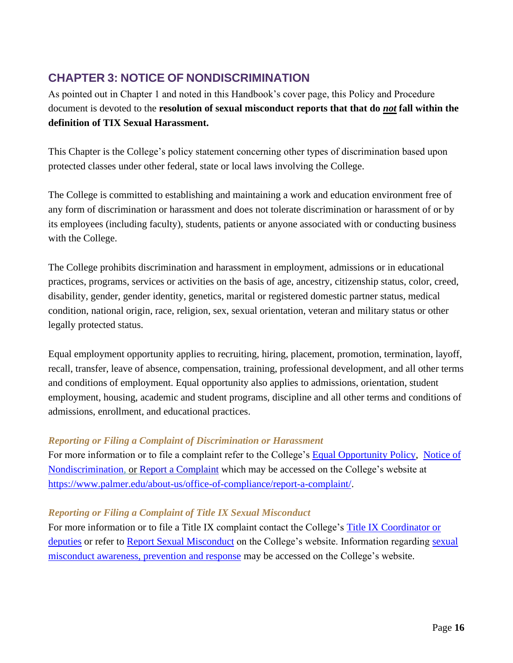# <span id="page-15-0"></span>**CHAPTER 3: NOTICE OF NONDISCRIMINATION**

As pointed out in Chapter 1 and noted in this Handbook's cover page, this Policy and Procedure document is devoted to the **resolution of sexual misconduct reports that that do** *not* **fall within the definition of TIX Sexual Harassment.**

This Chapter is the College's policy statement concerning other types of discrimination based upon protected classes under other federal, state or local laws involving the College.

The College is committed to establishing and maintaining a work and education environment free of any form of discrimination or harassment and does not tolerate discrimination or harassment of or by its employees (including faculty), students, patients or anyone associated with or conducting business with the College.

The College prohibits discrimination and harassment in employment, admissions or in educational practices, programs, services or activities on the basis of age, ancestry, citizenship status, color, creed, disability, gender, gender identity, genetics, marital or registered domestic partner status, medical condition, national origin, race, religion, sex, sexual orientation, veteran and military status or other legally protected status.

Equal employment opportunity applies to recruiting, hiring, placement, promotion, termination, layoff, recall, transfer, leave of absence, compensation, training, professional development, and all other terms and conditions of employment. Equal opportunity also applies to admissions, orientation, student employment, housing, academic and student programs, discipline and all other terms and conditions of admissions, enrollment, and educational practices.

#### *Reporting or Filing a Complaint of Discrimination or Harassment*

For more information or to file a complaint refer to the College's [Equal Opportunity Policy,](https://www.palmer.edu/getmedia/9a3c23b9-db9f-4912-852e-e7521309a881/ip-equal-opportunity.pdf) [Notice of](https://www.palmer.edu/about-us/office-of-compliance/notice-of-nondiscrimination/)  [Nondiscrimination,](https://www.palmer.edu/about-us/office-of-compliance/notice-of-nondiscrimination/) or [Report a Complaint](https://www.palmer.edu/about-us/office-of-compliance/report-a-complaint/) which may be accessed on the College's website at [https://www.palmer.edu/about-us/office-of-compliance/report-a-complaint/.](https://www.palmer.edu/about-us/office-of-compliance/report-a-complaint/)

#### *Reporting or Filing a Complaint of Title IX Sexual Misconduct*

For more information or to file a Title IX complaint contact the College's [Title IX Coordinator or](https://www.palmer.edu/about-us/office-of-compliance/report-a-sexual-misconduct/)  [deputies](https://www.palmer.edu/about-us/office-of-compliance/report-a-sexual-misconduct/) or refer to [Report Sexual Misconduct](https://www.palmer.edu/about-us/office-of-compliance/report-a-sexual-misconduct/) on the College's website. Information regarding sexual [misconduct awareness, prevention and response](https://www.palmer.edu/about-us/office-of-compliance/sexual-misconduct-prevention-and-response/) may be accessed on the College's website.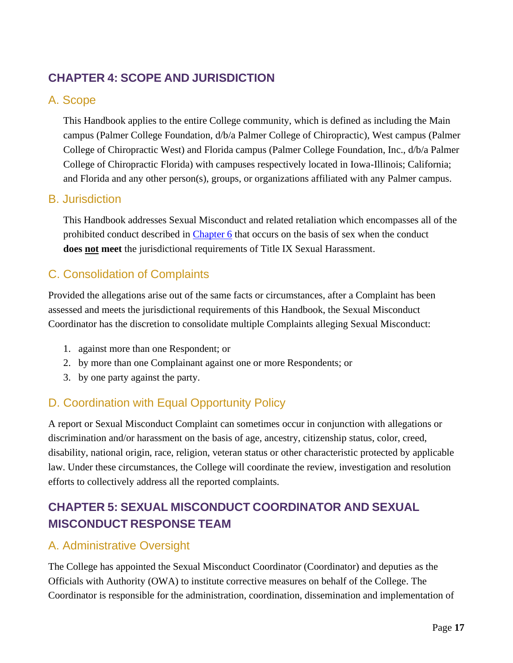# <span id="page-16-0"></span>**CHAPTER 4: SCOPE AND JURISDICTION**

### <span id="page-16-1"></span>A. Scope

This Handbook applies to the entire College community, which is defined as including the Main campus (Palmer College Foundation, d/b/a Palmer College of Chiropractic), West campus (Palmer College of Chiropractic West) and Florida campus (Palmer College Foundation, Inc., d/b/a Palmer College of Chiropractic Florida) with campuses respectively located in Iowa-Illinois; California; and Florida and any other person(s), groups, or organizations affiliated with any Palmer campus.

### <span id="page-16-2"></span>B. Jurisdiction

This Handbook addresses Sexual Misconduct and related retaliation which encompasses all of the prohibited conduct described in [Chapter 6](#page-21-0) that occurs on the basis of sex when the conduct **does not meet** the jurisdictional requirements of Title IX Sexual Harassment.

# <span id="page-16-3"></span>C. Consolidation of Complaints

Provided the allegations arise out of the same facts or circumstances, after a Complaint has been assessed and meets the jurisdictional requirements of this Handbook, the Sexual Misconduct Coordinator has the discretion to consolidate multiple Complaints alleging Sexual Misconduct:

- 1. against more than one Respondent; or
- 2. by more than one Complainant against one or more Respondents; or
- 3. by one party against the party.

### <span id="page-16-4"></span>D. Coordination with Equal Opportunity Policy

A report or Sexual Misconduct Complaint can sometimes occur in conjunction with allegations or discrimination and/or harassment on the basis of age, ancestry, citizenship status, color, creed, disability, national origin, race, religion, veteran status or other characteristic protected by applicable law. Under these circumstances, the College will coordinate the review, investigation and resolution efforts to collectively address all the reported complaints.

# <span id="page-16-5"></span>**CHAPTER 5: SEXUAL MISCONDUCT COORDINATOR AND SEXUAL MISCONDUCT RESPONSE TEAM**

### <span id="page-16-6"></span>A. Administrative Oversight

The College has appointed the Sexual Misconduct Coordinator (Coordinator) and deputies as the Officials with Authority (OWA) to institute corrective measures on behalf of the College. The Coordinator is responsible for the administration, coordination, dissemination and implementation of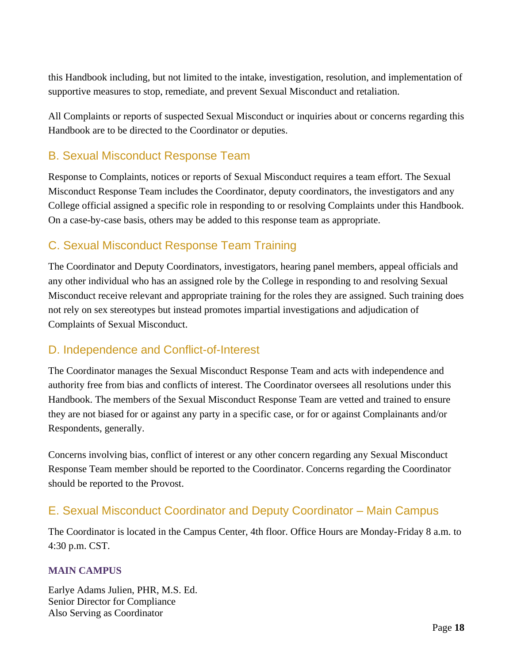this Handbook including, but not limited to the intake, investigation, resolution, and implementation of supportive measures to stop, remediate, and prevent Sexual Misconduct and retaliation.

All Complaints or reports of suspected Sexual Misconduct or inquiries about or concerns regarding this Handbook are to be directed to the Coordinator or deputies.

## <span id="page-17-0"></span>B. Sexual Misconduct Response Team

Response to Complaints, notices or reports of Sexual Misconduct requires a team effort. The Sexual Misconduct Response Team includes the Coordinator, deputy coordinators, the investigators and any College official assigned a specific role in responding to or resolving Complaints under this Handbook. On a case-by-case basis, others may be added to this response team as appropriate.

# <span id="page-17-1"></span>C. Sexual Misconduct Response Team Training

The Coordinator and Deputy Coordinators, investigators, hearing panel members, appeal officials and any other individual who has an assigned role by the College in responding to and resolving Sexual Misconduct receive relevant and appropriate training for the roles they are assigned. Such training does not rely on sex stereotypes but instead promotes impartial investigations and adjudication of Complaints of Sexual Misconduct.

### <span id="page-17-2"></span>D. Independence and Conflict-of-Interest

The Coordinator manages the Sexual Misconduct Response Team and acts with independence and authority free from bias and conflicts of interest. The Coordinator oversees all resolutions under this Handbook. The members of the Sexual Misconduct Response Team are vetted and trained to ensure they are not biased for or against any party in a specific case, or for or against Complainants and/or Respondents, generally.

Concerns involving bias, conflict of interest or any other concern regarding any Sexual Misconduct Response Team member should be reported to the Coordinator. Concerns regarding the Coordinator should be reported to the Provost.

### <span id="page-17-3"></span>E. Sexual Misconduct Coordinator and Deputy Coordinator – Main Campus

The Coordinator is located in the Campus Center, 4th floor. Office Hours are Monday-Friday 8 a.m. to 4:30 p.m. CST.

#### **MAIN CAMPUS**

Earlye Adams Julien, PHR, M.S. Ed. Senior Director for Compliance Also Serving as Coordinator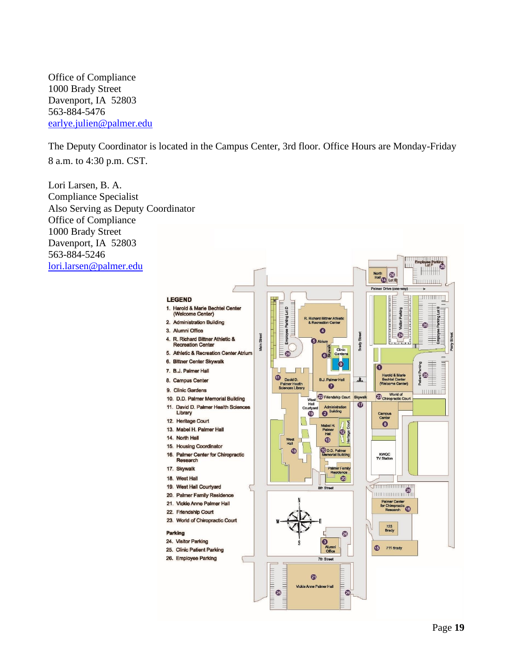Office of Compliance 1000 Brady Street Davenport, IA 52803 563-884-5476 [earlye.julien@palmer.edu](mailto:earlye.julien@palmer.edu)

The Deputy Coordinator is located in the Campus Center, 3rd floor. Office Hours are Monday-Friday 8 a.m. to 4:30 p.m. CST.

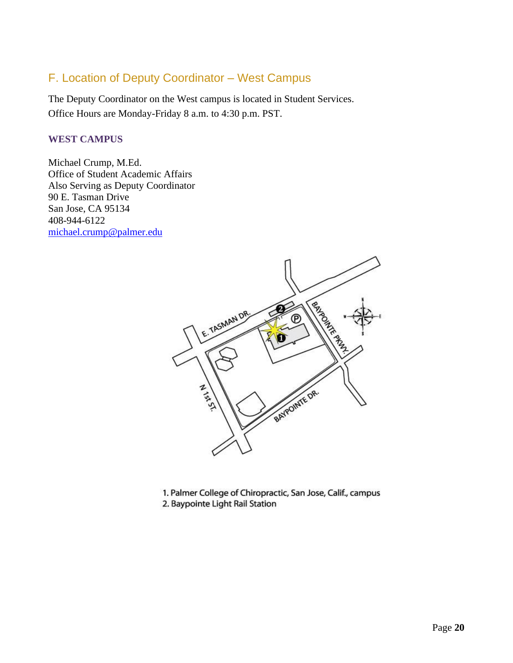### <span id="page-19-0"></span>F. Location of Deputy Coordinator – West Campus

The Deputy Coordinator on the West campus is located in Student Services. Office Hours are Monday-Friday 8 a.m. to 4:30 p.m. PST.

#### **WEST CAMPUS**

Michael Crump, M.Ed. Office of Student Academic Affairs Also Serving as Deputy Coordinator 90 E. Tasman Drive San Jose, CA 95134 408-944-6122 [michael.crump@palmer.edu](mailto:michael.crump@palmer.edu) 



1. Palmer College of Chiropractic, San Jose, Calif., campus 2. Baypointe Light Rail Station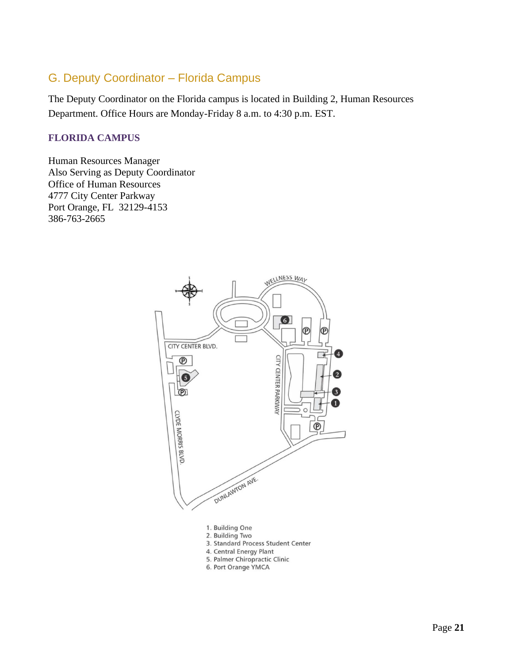### <span id="page-20-0"></span>G. Deputy Coordinator – Florida Campus

The Deputy Coordinator on the Florida campus is located in Building 2, Human Resources Department. Office Hours are Monday-Friday 8 a.m. to 4:30 p.m. EST.

#### **FLORIDA CAMPUS**

Human Resources Manager Also Serving as Deputy Coordinator Office of Human Resources 4777 City Center Parkway Port Orange, FL 32129-4153 386-763-2665

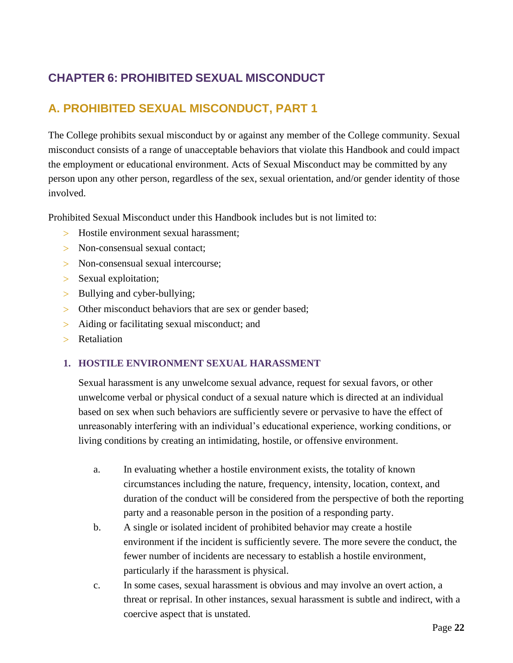# <span id="page-21-0"></span>**CHAPTER 6: PROHIBITED SEXUAL MISCONDUCT**

### <span id="page-21-1"></span>**A. PROHIBITED SEXUAL MISCONDUCT, PART 1**

The College prohibits sexual misconduct by or against any member of the College community. Sexual misconduct consists of a range of unacceptable behaviors that violate this Handbook and could impact the employment or educational environment. Acts of Sexual Misconduct may be committed by any person upon any other person, regardless of the sex, sexual orientation, and/or gender identity of those involved.

Prohibited Sexual Misconduct under this Handbook includes but is not limited to:

- Hostile environment sexual harassment;
- > Non-consensual sexual contact:
- > Non-consensual sexual intercourse;
- > Sexual exploitation;
- > Bullying and cyber-bullying;
- Other misconduct behaviors that are sex or gender based;
- Aiding or facilitating sexual misconduct; and
- > Retaliation

#### **1. HOSTILE ENVIRONMENT SEXUAL HARASSMENT**

Sexual harassment is any unwelcome sexual advance, request for sexual favors, or other unwelcome verbal or physical conduct of a sexual nature which is directed at an individual based on sex when such behaviors are sufficiently severe or pervasive to have the effect of unreasonably interfering with an individual's educational experience, working conditions, or living conditions by creating an intimidating, hostile, or offensive environment.

- a. In evaluating whether a hostile environment exists, the totality of known circumstances including the nature, frequency, intensity, location, context, and duration of the conduct will be considered from the perspective of both the reporting party and a reasonable person in the position of a responding party.
- b. A single or isolated incident of prohibited behavior may create a hostile environment if the incident is sufficiently severe. The more severe the conduct, the fewer number of incidents are necessary to establish a hostile environment, particularly if the harassment is physical.
- c. In some cases, sexual harassment is obvious and may involve an overt action, a threat or reprisal. In other instances, sexual harassment is subtle and indirect, with a coercive aspect that is unstated.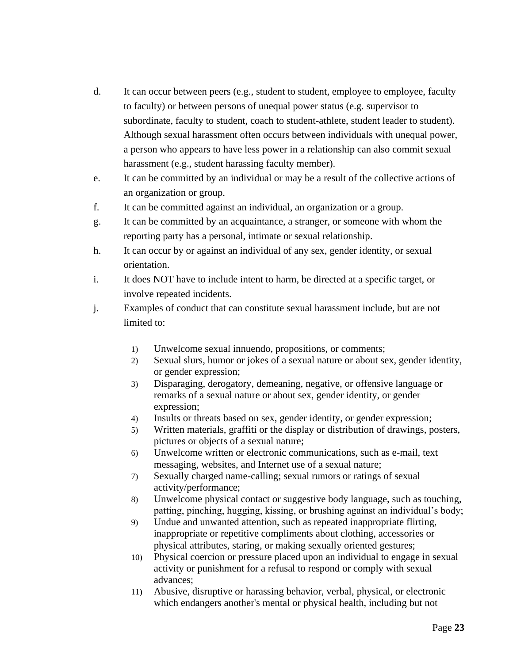- d. It can occur between peers (e.g., student to student, employee to employee, faculty to faculty) or between persons of unequal power status (e.g. supervisor to subordinate, faculty to student, coach to student-athlete, student leader to student). Although sexual harassment often occurs between individuals with unequal power, a person who appears to have less power in a relationship can also commit sexual harassment (e.g., student harassing faculty member).
- e. It can be committed by an individual or may be a result of the collective actions of an organization or group.
- f. It can be committed against an individual, an organization or a group.
- g. It can be committed by an acquaintance, a stranger, or someone with whom the reporting party has a personal, intimate or sexual relationship.
- h. It can occur by or against an individual of any sex, gender identity, or sexual orientation.
- i. It does NOT have to include intent to harm, be directed at a specific target, or involve repeated incidents.
- j. Examples of conduct that can constitute sexual harassment include, but are not limited to:
	- 1) Unwelcome sexual innuendo, propositions, or comments;
	- 2) Sexual slurs, humor or jokes of a sexual nature or about sex, gender identity, or gender expression;
	- 3) Disparaging, derogatory, demeaning, negative, or offensive language or remarks of a sexual nature or about sex, gender identity, or gender expression;
	- 4) Insults or threats based on sex, gender identity, or gender expression;
	- 5) Written materials, graffiti or the display or distribution of drawings, posters, pictures or objects of a sexual nature;
	- 6) Unwelcome written or electronic communications, such as e-mail, text messaging, websites, and Internet use of a sexual nature;
	- 7) Sexually charged name-calling; sexual rumors or ratings of sexual activity/performance;
	- 8) Unwelcome physical contact or suggestive body language, such as touching, patting, pinching, hugging, kissing, or brushing against an individual's body;
	- 9) Undue and unwanted attention, such as repeated inappropriate flirting, inappropriate or repetitive compliments about clothing, accessories or physical attributes, staring, or making sexually oriented gestures;
	- 10) Physical coercion or pressure placed upon an individual to engage in sexual activity or punishment for a refusal to respond or comply with sexual advances;
	- 11) Abusive, disruptive or harassing behavior, verbal, physical, or electronic which endangers another's mental or physical health, including but not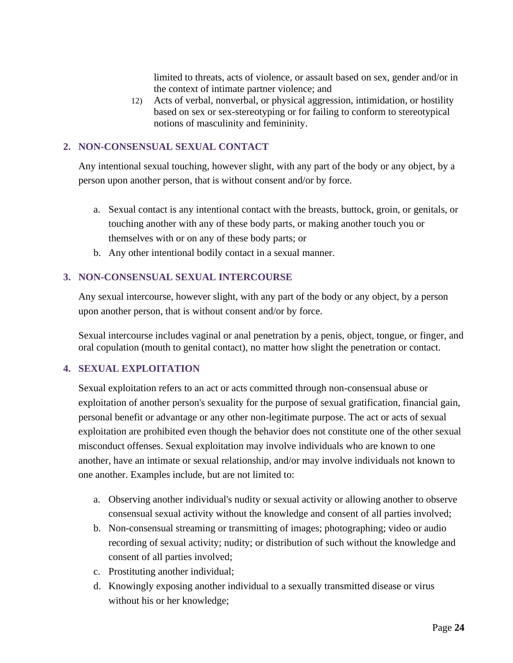limited to threats, acts of violence, or assault based on sex, gender and/or in the context of intimate partner violence; and

12) Acts of verbal, nonverbal, or physical aggression, intimidation, or hostility based on sex or sex-stereotyping or for failing to conform to stereotypical notions of masculinity and femininity.

#### **2. NON-CONSENSUAL SEXUAL CONTACT**

Any intentional sexual touching, however slight, with any part of the body or any object, by a person upon another person, that is without consent and/or by force.

- a. Sexual contact is any intentional contact with the breasts, buttock, groin, or genitals, or touching another with any of these body parts, or making another touch you or themselves with or on any of these body parts; or
- b. Any other intentional bodily contact in a sexual manner.

#### **3. NON-CONSENSUAL SEXUAL INTERCOURSE**

Any sexual intercourse, however slight, with any part of the body or any object, by a person upon another person, that is without consent and/or by force.

Sexual intercourse includes vaginal or anal penetration by a penis, object, tongue, or finger, and oral copulation (mouth to genital contact), no matter how slight the penetration or contact.

#### **4. SEXUAL EXPLOITATION**

Sexual exploitation refers to an act or acts committed through non-consensual abuse or exploitation of another person's sexuality for the purpose of sexual gratification, financial gain, personal benefit or advantage or any other non-legitimate purpose. The act or acts of sexual exploitation are prohibited even though the behavior does not constitute one of the other sexual misconduct offenses. Sexual exploitation may involve individuals who are known to one another, have an intimate or sexual relationship, and/or may involve individuals not known to one another. Examples include, but are not limited to:

- a. Observing another individual's nudity or sexual activity or allowing another to observe consensual sexual activity without the knowledge and consent of all parties involved;
- b. Non-consensual streaming or transmitting of images; photographing; video or audio recording of sexual activity; nudity; or distribution of such without the knowledge and consent of all parties involved;
- c. Prostituting another individual;
- d. Knowingly exposing another individual to a sexually transmitted disease or virus without his or her knowledge;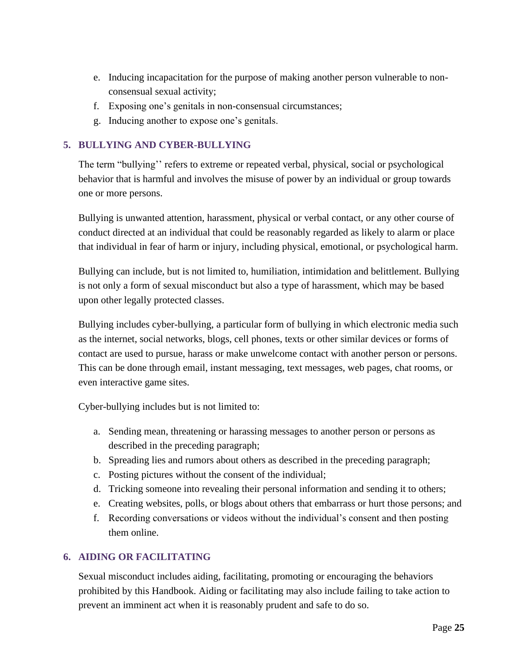- e. Inducing incapacitation for the purpose of making another person vulnerable to nonconsensual sexual activity;
- f. Exposing one's genitals in non-consensual circumstances;
- g. Inducing another to expose one's genitals.

#### **5. BULLYING AND CYBER-BULLYING**

The term "bullying'' refers to extreme or repeated verbal, physical, social or psychological behavior that is harmful and involves the misuse of power by an individual or group towards one or more persons.

Bullying is unwanted attention, harassment, physical or verbal contact, or any other course of conduct directed at an individual that could be reasonably regarded as likely to alarm or place that individual in fear of harm or injury, including physical, emotional, or psychological harm.

Bullying can include, but is not limited to, humiliation, intimidation and belittlement. Bullying is not only a form of sexual misconduct but also a type of harassment, which may be based upon other legally protected classes.

Bullying includes cyber-bullying, a particular form of bullying in which electronic media such as the internet, social networks, blogs, cell phones, texts or other similar devices or forms of contact are used to pursue, harass or make unwelcome contact with another person or persons. This can be done through email, instant messaging, text messages, web pages, chat rooms, or even interactive game sites.

Cyber-bullying includes but is not limited to:

- a. Sending mean, threatening or harassing messages to another person or persons as described in the preceding paragraph;
- b. Spreading lies and rumors about others as described in the preceding paragraph;
- c. Posting pictures without the consent of the individual;
- d. Tricking someone into revealing their personal information and sending it to others;
- e. Creating websites, polls, or blogs about others that embarrass or hurt those persons; and
- f. Recording conversations or videos without the individual's consent and then posting them online.

#### **6. AIDING OR FACILITATING**

Sexual misconduct includes aiding, facilitating, promoting or encouraging the behaviors prohibited by this Handbook. Aiding or facilitating may also include failing to take action to prevent an imminent act when it is reasonably prudent and safe to do so.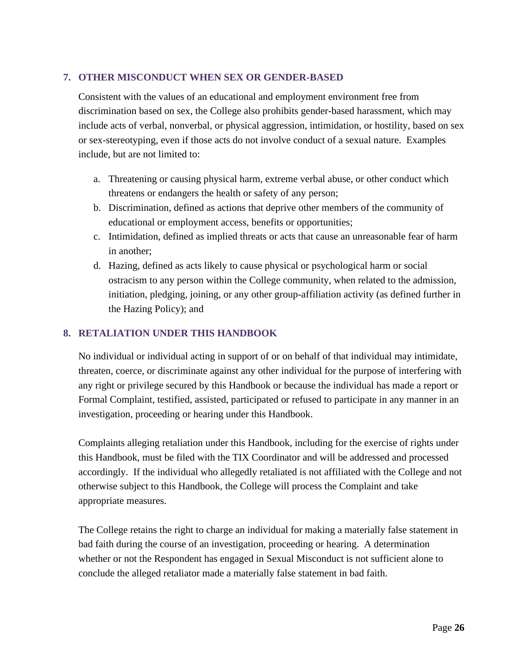#### **7. OTHER MISCONDUCT WHEN SEX OR GENDER-BASED**

Consistent with the values of an educational and employment environment free from discrimination based on sex, the College also prohibits gender-based harassment, which may include acts of verbal, nonverbal, or physical aggression, intimidation, or hostility, based on sex or sex-stereotyping, even if those acts do not involve conduct of a sexual nature. Examples include, but are not limited to:

- a. Threatening or causing physical harm, extreme verbal abuse, or other conduct which threatens or endangers the health or safety of any person;
- b. Discrimination, defined as actions that deprive other members of the community of educational or employment access, benefits or opportunities;
- c. Intimidation, defined as implied threats or acts that cause an unreasonable fear of harm in another;
- d. Hazing, defined as acts likely to cause physical or psychological harm or social ostracism to any person within the College community, when related to the admission, initiation, pledging, joining, or any other group-affiliation activity (as defined further in the Hazing Policy); and

#### **8. RETALIATION UNDER THIS HANDBOOK**

No individual or individual acting in support of or on behalf of that individual may intimidate, threaten, coerce, or discriminate against any other individual for the purpose of interfering with any right or privilege secured by this Handbook or because the individual has made a report or Formal Complaint, testified, assisted, participated or refused to participate in any manner in an investigation, proceeding or hearing under this Handbook.

Complaints alleging retaliation under this Handbook, including for the exercise of rights under this Handbook, must be filed with the TIX Coordinator and will be addressed and processed accordingly. If the individual who allegedly retaliated is not affiliated with the College and not otherwise subject to this Handbook, the College will process the Complaint and take appropriate measures.

The College retains the right to charge an individual for making a materially false statement in bad faith during the course of an investigation, proceeding or hearing. A determination whether or not the Respondent has engaged in Sexual Misconduct is not sufficient alone to conclude the alleged retaliator made a materially false statement in bad faith.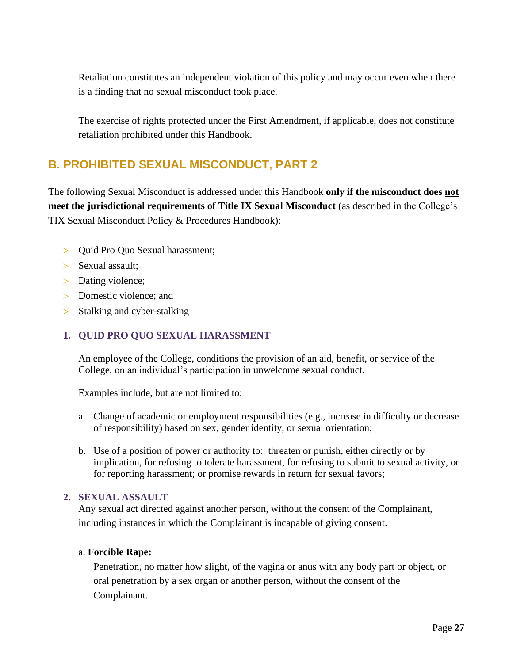Retaliation constitutes an independent violation of this policy and may occur even when there is a finding that no sexual misconduct took place.

The exercise of rights protected under the First Amendment, if applicable, does not constitute retaliation prohibited under this Handbook.

# <span id="page-26-0"></span>**B. PROHIBITED SEXUAL MISCONDUCT, PART 2**

The following Sexual Misconduct is addressed under this Handbook **only if the misconduct does not meet the jurisdictional requirements of Title IX Sexual Misconduct** (as described in the College's TIX Sexual Misconduct Policy & Procedures Handbook):

- > Quid Pro Quo Sexual harassment;
- > Sexual assault;
- > Dating violence;
- > Domestic violence: and
- > Stalking and cyber-stalking

#### **1. QUID PRO QUO SEXUAL HARASSMENT**

An employee of the College, conditions the provision of an aid, benefit, or service of the College, on an individual's participation in unwelcome sexual conduct.

Examples include, but are not limited to:

- a. Change of academic or employment responsibilities (e.g., increase in difficulty or decrease of responsibility) based on sex, gender identity, or sexual orientation;
- b. Use of a position of power or authority to: threaten or punish, either directly or by implication, for refusing to tolerate harassment, for refusing to submit to sexual activity, or for reporting harassment; or promise rewards in return for sexual favors;

#### **2. SEXUAL ASSAULT**

Any sexual act directed against another person, without the consent of the Complainant, including instances in which the Complainant is incapable of giving consent.

#### a. **Forcible Rape:**

Penetration, no matter how slight, of the vagina or anus with any body part or object, or oral penetration by a sex organ or another person, without the consent of the Complainant.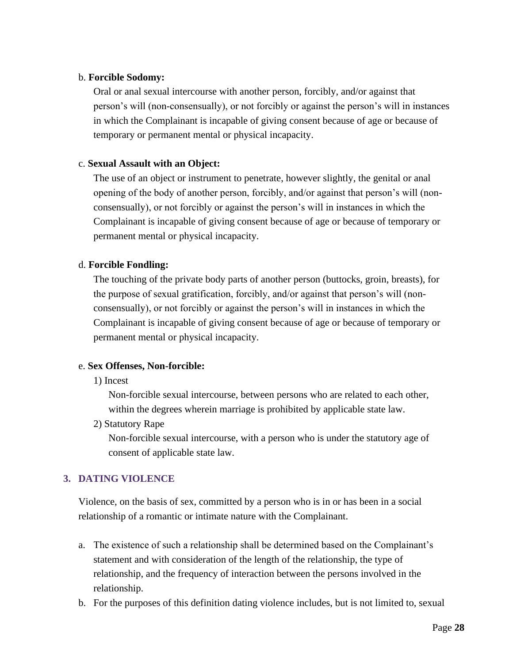#### b. **Forcible Sodomy:**

Oral or anal sexual intercourse with another person, forcibly, and/or against that person's will (non-consensually), or not forcibly or against the person's will in instances in which the Complainant is incapable of giving consent because of age or because of temporary or permanent mental or physical incapacity.

#### c. **Sexual Assault with an Object:**

The use of an object or instrument to penetrate, however slightly, the genital or anal opening of the body of another person, forcibly, and/or against that person's will (nonconsensually), or not forcibly or against the person's will in instances in which the Complainant is incapable of giving consent because of age or because of temporary or permanent mental or physical incapacity.

#### d. **Forcible Fondling:**

The touching of the private body parts of another person (buttocks, groin, breasts), for the purpose of sexual gratification, forcibly, and/or against that person's will (nonconsensually), or not forcibly or against the person's will in instances in which the Complainant is incapable of giving consent because of age or because of temporary or permanent mental or physical incapacity.

#### e. **Sex Offenses, Non-forcible:**

1) Incest

Non-forcible sexual intercourse, between persons who are related to each other, within the degrees wherein marriage is prohibited by applicable state law.

2) Statutory Rape

Non-forcible sexual intercourse, with a person who is under the statutory age of consent of applicable state law.

#### **3. DATING VIOLENCE**

Violence, on the basis of sex, committed by a person who is in or has been in a social relationship of a romantic or intimate nature with the Complainant.

- a. The existence of such a relationship shall be determined based on the Complainant's statement and with consideration of the length of the relationship, the type of relationship, and the frequency of interaction between the persons involved in the relationship.
- b. For the purposes of this definition dating violence includes, but is not limited to, sexual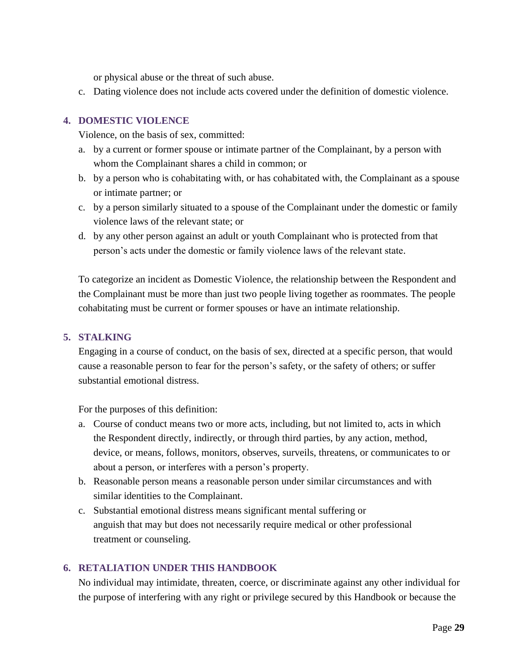or physical abuse or the threat of such abuse.

c. Dating violence does not include acts covered under the definition of domestic violence.

#### **4. DOMESTIC VIOLENCE**

Violence, on the basis of sex, committed:

- a. by a current or former spouse or intimate partner of the Complainant, by a person with whom the Complainant shares a child in common; or
- b. by a person who is cohabitating with, or has cohabitated with, the Complainant as a spouse or intimate partner; or
- c. by a person similarly situated to a spouse of the Complainant under the domestic or family violence laws of the relevant state; or
- d. by any other person against an adult or youth Complainant who is protected from that person's acts under the domestic or family violence laws of the relevant state.

To categorize an incident as Domestic Violence, the relationship between the Respondent and the Complainant must be more than just two people living together as roommates. The people cohabitating must be current or former spouses or have an intimate relationship.

#### **5. STALKING**

Engaging in a course of conduct, on the basis of sex, directed at a specific person, that would cause a reasonable person to fear for the person's safety, or the safety of others; or suffer substantial emotional distress.

For the purposes of this definition:

- a. Course of conduct means two or more acts, including, but not limited to, acts in which the Respondent directly, indirectly, or through third parties, by any action, method, device, or means, follows, monitors, observes, surveils, threatens, or communicates to or about a person, or interferes with a person's property.
- b. Reasonable person means a reasonable person under similar circumstances and with similar identities to the Complainant.
- c. Substantial emotional distress means significant mental suffering or anguish that may but does not necessarily require medical or other professional treatment or counseling.

#### **6. RETALIATION UNDER THIS HANDBOOK**

No individual may intimidate, threaten, coerce, or discriminate against any other individual for the purpose of interfering with any right or privilege secured by this Handbook or because the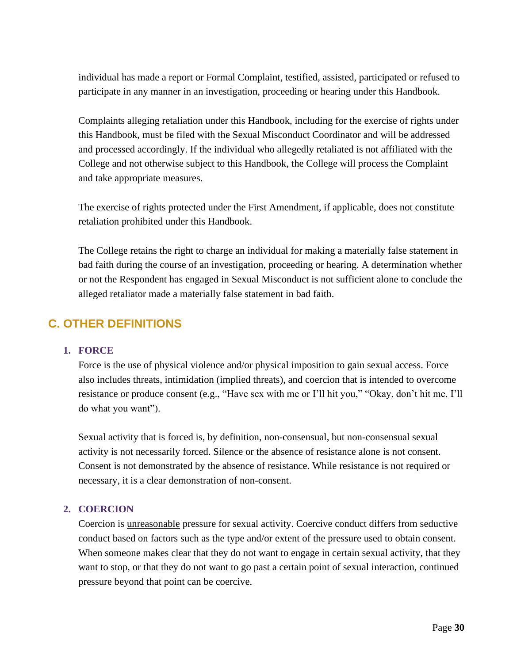individual has made a report or Formal Complaint, testified, assisted, participated or refused to participate in any manner in an investigation, proceeding or hearing under this Handbook.

Complaints alleging retaliation under this Handbook, including for the exercise of rights under this Handbook, must be filed with the Sexual Misconduct Coordinator and will be addressed and processed accordingly. If the individual who allegedly retaliated is not affiliated with the College and not otherwise subject to this Handbook, the College will process the Complaint and take appropriate measures.

The exercise of rights protected under the First Amendment, if applicable, does not constitute retaliation prohibited under this Handbook.

The College retains the right to charge an individual for making a materially false statement in bad faith during the course of an investigation, proceeding or hearing. A determination whether or not the Respondent has engaged in Sexual Misconduct is not sufficient alone to conclude the alleged retaliator made a materially false statement in bad faith.

### <span id="page-29-0"></span>**C. OTHER DEFINITIONS**

#### **1. FORCE**

Force is the use of physical violence and/or physical imposition to gain sexual access. Force also includes threats, intimidation (implied threats), and coercion that is intended to overcome resistance or produce consent (e.g., "Have sex with me or I'll hit you," "Okay, don't hit me, I'll do what you want").

Sexual activity that is forced is, by definition, non-consensual, but non-consensual sexual activity is not necessarily forced. Silence or the absence of resistance alone is not consent. Consent is not demonstrated by the absence of resistance. While resistance is not required or necessary, it is a clear demonstration of non-consent.

#### **2. COERCION**

Coercion is unreasonable pressure for sexual activity. Coercive conduct differs from seductive conduct based on factors such as the type and/or extent of the pressure used to obtain consent. When someone makes clear that they do not want to engage in certain sexual activity, that they want to stop, or that they do not want to go past a certain point of sexual interaction, continued pressure beyond that point can be coercive.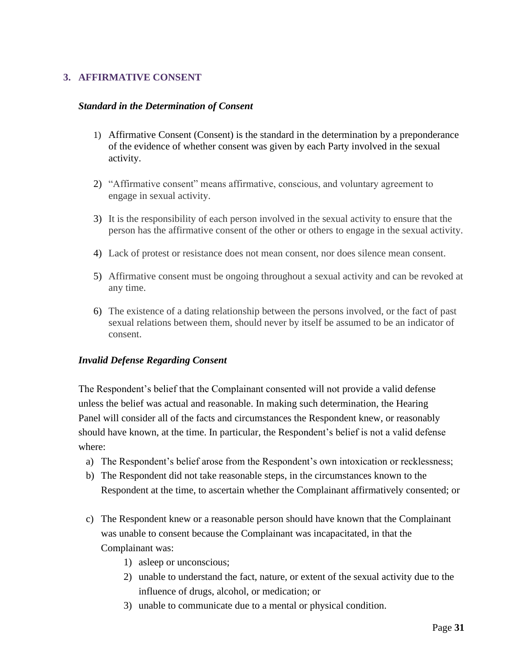#### **3. AFFIRMATIVE CONSENT**

#### *Standard in the Determination of Consent*

- 1) Affirmative Consent (Consent) is the standard in the determination by a preponderance of the evidence of whether consent was given by each Party involved in the sexual activity.
- 2) "Affirmative consent" means affirmative, conscious, and voluntary agreement to engage in sexual activity.
- 3) It is the responsibility of each person involved in the sexual activity to ensure that the person has the affirmative consent of the other or others to engage in the sexual activity.
- 4) Lack of protest or resistance does not mean consent, nor does silence mean consent.
- 5) Affirmative consent must be ongoing throughout a sexual activity and can be revoked at any time.
- 6) The existence of a dating relationship between the persons involved, or the fact of past sexual relations between them, should never by itself be assumed to be an indicator of consent.

#### *Invalid Defense Regarding Consent*

The Respondent's belief that the Complainant consented will not provide a valid defense unless the belief was actual and reasonable. In making such determination, the Hearing Panel will consider all of the facts and circumstances the Respondent knew, or reasonably should have known, at the time. In particular, the Respondent's belief is not a valid defense where:

- a) The Respondent's belief arose from the Respondent's own intoxication or recklessness;
- b) The Respondent did not take reasonable steps, in the circumstances known to the Respondent at the time, to ascertain whether the Complainant affirmatively consented; or
- c) The Respondent knew or a reasonable person should have known that the Complainant was unable to consent because the Complainant was incapacitated, in that the Complainant was:
	- 1) asleep or unconscious;
	- 2) unable to understand the fact, nature, or extent of the sexual activity due to the influence of drugs, alcohol, or medication; or
	- 3) unable to communicate due to a mental or physical condition.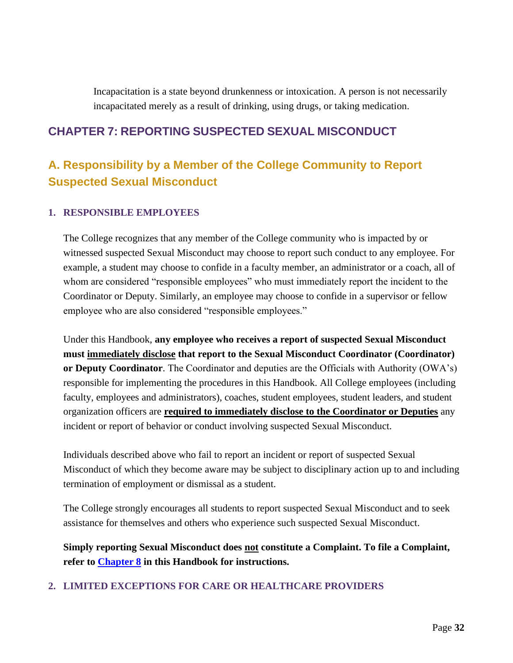Incapacitation is a state beyond drunkenness or intoxication. A person is not necessarily incapacitated merely as a result of drinking, using drugs, or taking medication.

### <span id="page-31-0"></span>**CHAPTER 7: REPORTING SUSPECTED SEXUAL MISCONDUCT**

# <span id="page-31-1"></span>**A. Responsibility by a Member of the College Community to Report Suspected Sexual Misconduct**

#### **1. RESPONSIBLE EMPLOYEES**

The College recognizes that any member of the College community who is impacted by or witnessed suspected Sexual Misconduct may choose to report such conduct to any employee. For example, a student may choose to confide in a faculty member, an administrator or a coach, all of whom are considered "responsible employees" who must immediately report the incident to the Coordinator or Deputy. Similarly, an employee may choose to confide in a supervisor or fellow employee who are also considered "responsible employees."

Under this Handbook, **any employee who receives a report of suspected Sexual Misconduct must immediately disclose that report to the Sexual Misconduct Coordinator (Coordinator) or Deputy Coordinator**. The Coordinator and deputies are the Officials with Authority (OWA's) responsible for implementing the procedures in this Handbook. All College employees (including faculty, employees and administrators), coaches, student employees, student leaders, and student organization officers are **required to immediately disclose to the Coordinator or Deputies** any incident or report of behavior or conduct involving suspected Sexual Misconduct.

Individuals described above who fail to report an incident or report of suspected Sexual Misconduct of which they become aware may be subject to disciplinary action up to and including termination of employment or dismissal as a student.

The College strongly encourages all students to report suspected Sexual Misconduct and to seek assistance for themselves and others who experience such suspected Sexual Misconduct.

**Simply reporting Sexual Misconduct does not constitute a Complaint. To file a Complaint, refer to [Chapter 8](#page-36-1) in this Handbook for instructions.**

#### **2. LIMITED EXCEPTIONS FOR CARE OR HEALTHCARE PROVIDERS**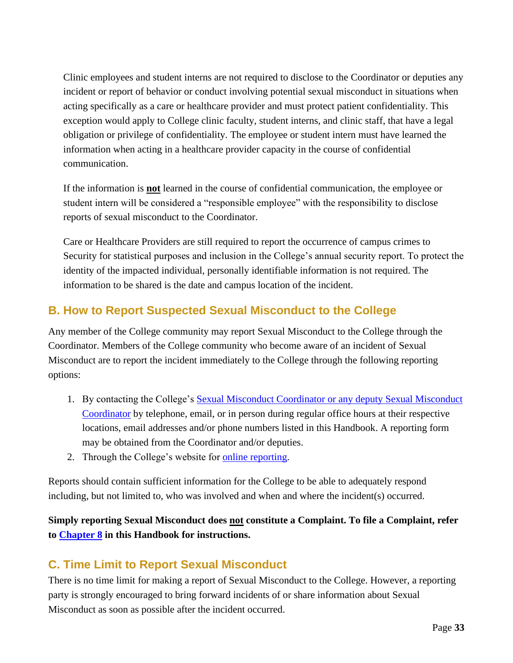Clinic employees and student interns are not required to disclose to the Coordinator or deputies any incident or report of behavior or conduct involving potential sexual misconduct in situations when acting specifically as a care or healthcare provider and must protect patient confidentiality. This exception would apply to College clinic faculty, student interns, and clinic staff, that have a legal obligation or privilege of confidentiality. The employee or student intern must have learned the information when acting in a healthcare provider capacity in the course of confidential communication.

If the information is **not** learned in the course of confidential communication, the employee or student intern will be considered a "responsible employee" with the responsibility to disclose reports of sexual misconduct to the Coordinator.

Care or Healthcare Providers are still required to report the occurrence of campus crimes to Security for statistical purposes and inclusion in the College's annual security report. To protect the identity of the impacted individual, personally identifiable information is not required. The information to be shared is the date and campus location of the incident.

# <span id="page-32-0"></span>**B. How to Report Suspected Sexual Misconduct to the College**

Any member of the College community may report Sexual Misconduct to the College through the Coordinator. Members of the College community who become aware of an incident of Sexual Misconduct are to report the incident immediately to the College through the following reporting options:

- 1. By contacting the College's Sexual Misconduct [Coordinator or any deputy Sexual Misconduct](https://www.palmer.edu/about-us/office-of-compliance/report-a-sexual-misconduct/) [Coordinator](https://www.palmer.edu/about-us/office-of-compliance/report-a-sexual-misconduct/) by telephone, email, or in person during regular office hours at their respective locations, email addresses and/or phone numbers listed in this Handbook. A reporting form may be obtained from the Coordinator and/or deputies.
- 2. Through the College's website for [online reporting.](https://cm.maxient.com/reportingform.php?PalmerCollege&layout_id=25)

Reports should contain sufficient information for the College to be able to adequately respond including, but not limited to, who was involved and when and where the incident(s) occurred.

### **Simply reporting Sexual Misconduct does not constitute a Complaint. To file a Complaint, refer to [Chapter 8](#page-36-1) in this Handbook for instructions.**

### <span id="page-32-1"></span>**C. Time Limit to Report Sexual Misconduct**

There is no time limit for making a report of Sexual Misconduct to the College. However, a reporting party is strongly encouraged to bring forward incidents of or share information about Sexual Misconduct as soon as possible after the incident occurred.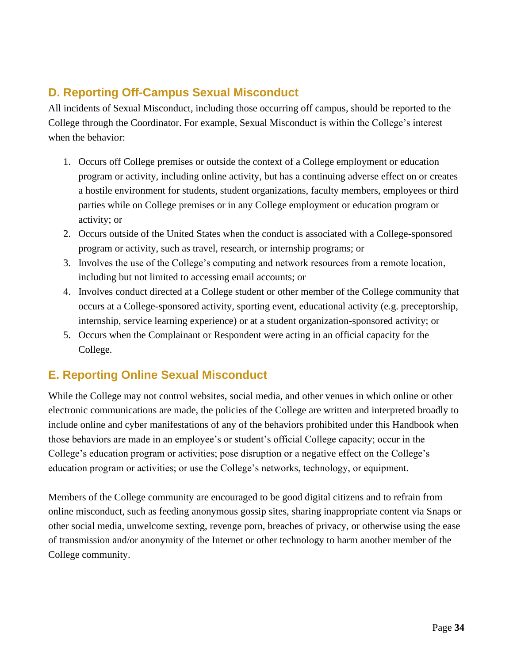# <span id="page-33-0"></span>**D. Reporting Off-Campus Sexual Misconduct**

All incidents of Sexual Misconduct, including those occurring off campus, should be reported to the College through the Coordinator. For example, Sexual Misconduct is within the College's interest when the behavior:

- 1. Occurs off College premises or outside the context of a College employment or education program or activity, including online activity, but has a continuing adverse effect on or creates a hostile environment for students, student organizations, faculty members, employees or third parties while on College premises or in any College employment or education program or activity; or
- 2. Occurs outside of the United States when the conduct is associated with a College-sponsored program or activity, such as travel, research, or internship programs; or
- 3. Involves the use of the College's computing and network resources from a remote location, including but not limited to accessing email accounts; or
- 4. Involves conduct directed at a College student or other member of the College community that occurs at a College-sponsored activity, sporting event, educational activity (e.g. preceptorship, internship, service learning experience) or at a student organization-sponsored activity; or
- 5. Occurs when the Complainant or Respondent were acting in an official capacity for the College.

### <span id="page-33-1"></span>**E. Reporting Online Sexual Misconduct**

While the College may not control websites, social media, and other venues in which online or other electronic communications are made, the policies of the College are written and interpreted broadly to include online and cyber manifestations of any of the behaviors prohibited under this Handbook when those behaviors are made in an employee's or student's official College capacity; occur in the College's education program or activities; pose disruption or a negative effect on the College's education program or activities; or use the College's networks, technology, or equipment.

Members of the College community are encouraged to be good digital citizens and to refrain from online misconduct, such as feeding anonymous gossip sites, sharing inappropriate content via Snaps or other social media, unwelcome sexting, revenge porn, breaches of privacy, or otherwise using the ease of transmission and/or anonymity of the Internet or other technology to harm another member of the College community.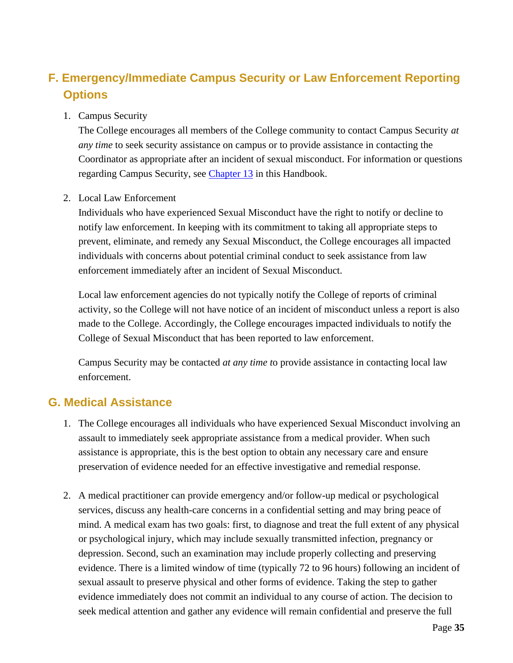# <span id="page-34-0"></span>**F. Emergency/Immediate Campus Security or Law Enforcement Reporting Options**

#### 1. Campus Security

The College encourages all members of the College community to contact Campus Security *at any time* to seek security assistance on campus or to provide assistance in contacting the Coordinator as appropriate after an incident of sexual misconduct. For information or questions regarding Campus Security, see [Chapter 13](#page-52-2) in this Handbook.

#### 2. Local Law Enforcement

Individuals who have experienced Sexual Misconduct have the right to notify or decline to notify law enforcement. In keeping with its commitment to taking all appropriate steps to prevent, eliminate, and remedy any Sexual Misconduct, the College encourages all impacted individuals with concerns about potential criminal conduct to seek assistance from law enforcement immediately after an incident of Sexual Misconduct.

Local law enforcement agencies do not typically notify the College of reports of criminal activity, so the College will not have notice of an incident of misconduct unless a report is also made to the College. Accordingly, the College encourages impacted individuals to notify the College of Sexual Misconduct that has been reported to law enforcement.

Campus Security may be contacted *at any time t*o provide assistance in contacting local law enforcement.

### <span id="page-34-1"></span>**G. Medical Assistance**

- 1. The College encourages all individuals who have experienced Sexual Misconduct involving an assault to immediately seek appropriate assistance from a medical provider. When such assistance is appropriate, this is the best option to obtain any necessary care and ensure preservation of evidence needed for an effective investigative and remedial response.
- 2. A medical practitioner can provide emergency and/or follow-up medical or psychological services, discuss any health-care concerns in a confidential setting and may bring peace of mind. A medical exam has two goals: first, to diagnose and treat the full extent of any physical or psychological injury, which may include sexually transmitted infection, pregnancy or depression. Second, such an examination may include properly collecting and preserving evidence. There is a limited window of time (typically 72 to 96 hours) following an incident of sexual assault to preserve physical and other forms of evidence. Taking the step to gather evidence immediately does not commit an individual to any course of action. The decision to seek medical attention and gather any evidence will remain confidential and preserve the full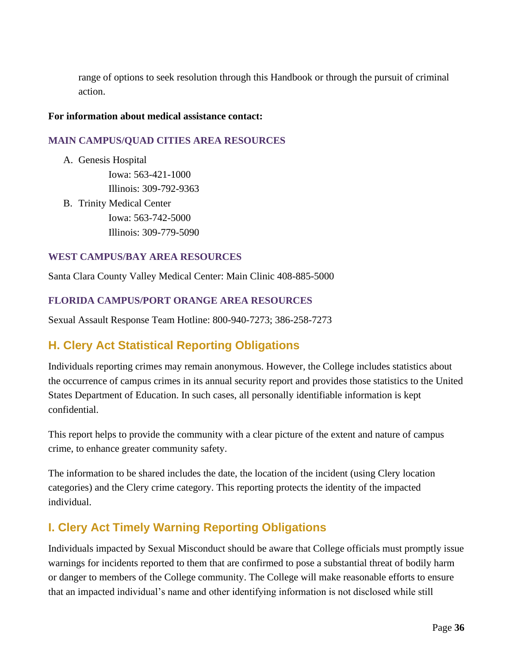range of options to seek resolution through this Handbook or through the pursuit of criminal action.

#### **For information about medical assistance contact:**

#### **MAIN CAMPUS/QUAD CITIES AREA RESOURCES**

A. Genesis Hospital

Iowa: 563-421-1000 Illinois: 309-792-9363

B. Trinity Medical Center Iowa: 563-742-5000 Illinois: 309-779-5090

#### **WEST CAMPUS/BAY AREA RESOURCES**

Santa Clara County Valley Medical Center: Main Clinic 408-885-5000

#### **FLORIDA CAMPUS/PORT ORANGE AREA RESOURCES**

Sexual Assault Response Team Hotline: 800-940-7273; 386-258-7273

### <span id="page-35-0"></span>**H. Clery Act Statistical Reporting Obligations**

Individuals reporting crimes may remain anonymous. However, the College includes statistics about the occurrence of campus crimes in its annual security report and provides those statistics to the United States Department of Education. In such cases, all personally identifiable information is kept confidential.

This report helps to provide the community with a clear picture of the extent and nature of campus crime, to enhance greater community safety.

The information to be shared includes the date, the location of the incident (using Clery location categories) and the Clery crime category. This reporting protects the identity of the impacted individual.

### <span id="page-35-1"></span>**I. Clery Act Timely Warning Reporting Obligations**

Individuals impacted by Sexual Misconduct should be aware that College officials must promptly issue warnings for incidents reported to them that are confirmed to pose a substantial threat of bodily harm or danger to members of the College community. The College will make reasonable efforts to ensure that an impacted individual's name and other identifying information is not disclosed while still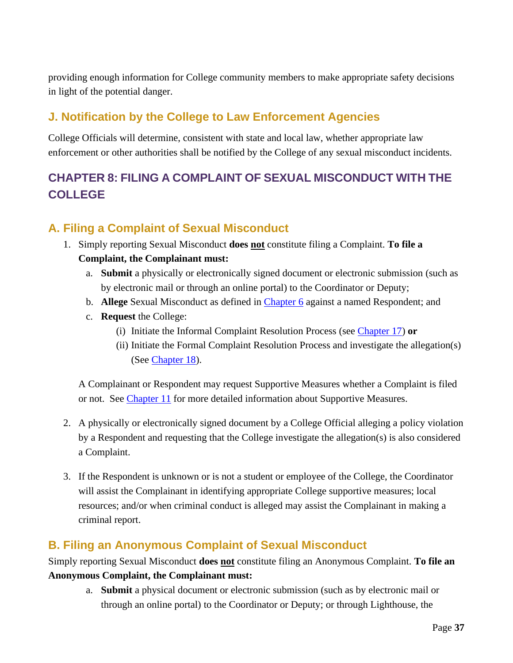providing enough information for College community members to make appropriate safety decisions in light of the potential danger.

# **J. Notification by the College to Law Enforcement Agencies**

College Officials will determine, consistent with state and local law, whether appropriate law enforcement or other authorities shall be notified by the College of any sexual misconduct incidents.

# **CHAPTER 8: FILING A COMPLAINT OF SEXUAL MISCONDUCT WITH THE COLLEGE**

## <span id="page-36-0"></span>**A. Filing a Complaint of Sexual Misconduct**

- 1. Simply reporting Sexual Misconduct **does not** constitute filing a Complaint. **To file a Complaint, the Complainant must:**
	- a. **Submit** a physically or electronically signed document or electronic submission (such as by electronic mail or through an online portal) to the Coordinator or Deputy;
	- b. **Allege** Sexual Misconduct as defined in [Chapter 6](#page-21-0) against a named Respondent; and
	- c. **Request** the College:
		- (i) Initiate the Informal Complaint Resolution Process (see [Chapter 17\)](#page-56-0) **or**
		- (ii) Initiate the Formal Complaint Resolution Process and investigate the allegation(s) (See [Chapter](#page-58-0) 18).

A Complainant or Respondent may request Supportive Measures whether a Complaint is filed or not. See [Chapter 11](#page-42-0) for more detailed information about Supportive Measures.

- 2. A physically or electronically signed document by a College Official alleging a policy violation by a Respondent and requesting that the College investigate the allegation(s) is also considered a Complaint.
- 3. If the Respondent is unknown or is not a student or employee of the College, the Coordinator will assist the Complainant in identifying appropriate College supportive measures; local resources; and/or when criminal conduct is alleged may assist the Complainant in making a criminal report.

### **B. Filing an Anonymous Complaint of Sexual Misconduct**

Simply reporting Sexual Misconduct **does not** constitute filing an Anonymous Complaint. **To file an Anonymous Complaint, the Complainant must:**

a. **Submit** a physical document or electronic submission (such as by electronic mail or through an online portal) to the Coordinator or Deputy; or through Lighthouse, the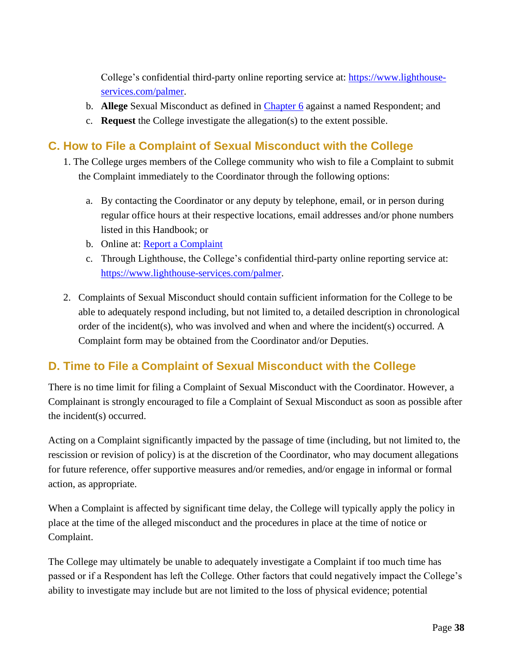College's confidential third-party online reporting service at: [https://www.lighthouse](https://www.lighthouse-services.com/palmer)[services.com/palmer.](https://www.lighthouse-services.com/palmer)

- b. **Allege** Sexual Misconduct as defined in [Chapter 6](#page-21-0) against a named Respondent; and
- c. **Request** the College investigate the allegation(s) to the extent possible.

## **C. How to File a Complaint of Sexual Misconduct with the College**

- 1. The College urges members of the College community who wish to file a Complaint to submit the Complaint immediately to the Coordinator through the following options:
	- a. By contacting the Coordinator or any deputy by telephone, email, or in person during regular office hours at their respective locations, email addresses and/or phone numbers listed in this Handbook; or
	- b. Online at: [Report a Complaint](https://cm.maxient.com/reportingform.php?PalmerCollege&layout_id=25)
	- c. Through Lighthouse, the College's confidential third-party online reporting service at: [https://www.lighthouse-services.com/palmer.](https://www.lighthouse-services.com/palmer)
- 2. Complaints of Sexual Misconduct should contain sufficient information for the College to be able to adequately respond including, but not limited to, a detailed description in chronological order of the incident(s), who was involved and when and where the incident(s) occurred. A Complaint form may be obtained from the Coordinator and/or Deputies.

# **D. Time to File a Complaint of Sexual Misconduct with the College**

There is no time limit for filing a Complaint of Sexual Misconduct with the Coordinator. However, a Complainant is strongly encouraged to file a Complaint of Sexual Misconduct as soon as possible after the incident(s) occurred.

Acting on a Complaint significantly impacted by the passage of time (including, but not limited to, the rescission or revision of policy) is at the discretion of the Coordinator, who may document allegations for future reference, offer supportive measures and/or remedies, and/or engage in informal or formal action, as appropriate.

When a Complaint is affected by significant time delay, the College will typically apply the policy in place at the time of the alleged misconduct and the procedures in place at the time of notice or Complaint.

The College may ultimately be unable to adequately investigate a Complaint if too much time has passed or if a Respondent has left the College. Other factors that could negatively impact the College's ability to investigate may include but are not limited to the loss of physical evidence; potential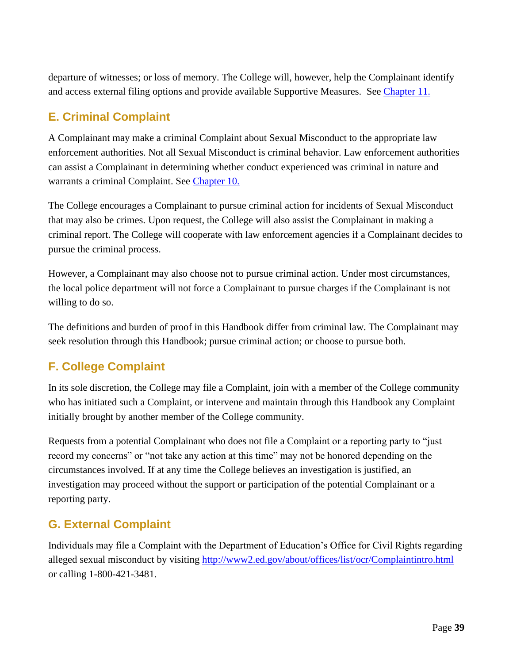departure of witnesses; or loss of memory. The College will, however, help the Complainant identify and access external filing options and provide available Supportive Measures. See [Chapter 11.](#page-42-0)

# <span id="page-38-0"></span>**E. Criminal Complaint**

A Complainant may make a criminal Complaint about Sexual Misconduct to the appropriate law enforcement authorities. Not all Sexual Misconduct is criminal behavior. Law enforcement authorities can assist a Complainant in determining whether conduct experienced was criminal in nature and warrants a criminal Complaint. See [Chapter 10.](#page-41-0)

The College encourages a Complainant to pursue criminal action for incidents of Sexual Misconduct that may also be crimes. Upon request, the College will also assist the Complainant in making a criminal report. The College will cooperate with law enforcement agencies if a Complainant decides to pursue the criminal process.

However, a Complainant may also choose not to pursue criminal action. Under most circumstances, the local police department will not force a Complainant to pursue charges if the Complainant is not willing to do so.

The definitions and burden of proof in this Handbook differ from criminal law. The Complainant may seek resolution through this Handbook; pursue criminal action; or choose to pursue both.

# **F. College Complaint**

In its sole discretion, the College may file a Complaint, join with a member of the College community who has initiated such a Complaint, or intervene and maintain through this Handbook any Complaint initially brought by another member of the College community.

Requests from a potential Complainant who does not file a Complaint or a reporting party to "just record my concerns" or "not take any action at this time" may not be honored depending on the circumstances involved. If at any time the College believes an investigation is justified, an investigation may proceed without the support or participation of the potential Complainant or a reporting party.

# **G. External Complaint**

Individuals may file a Complaint with the Department of Education's Office for Civil Rights regarding alleged sexual misconduct by visiting [http://www2.ed.gov/about/offices/list/ocr/Complaintintro.html](http://www2.ed.gov/about/offices/list/ocr/complaintintro.html) or calling 1-800-421-3481.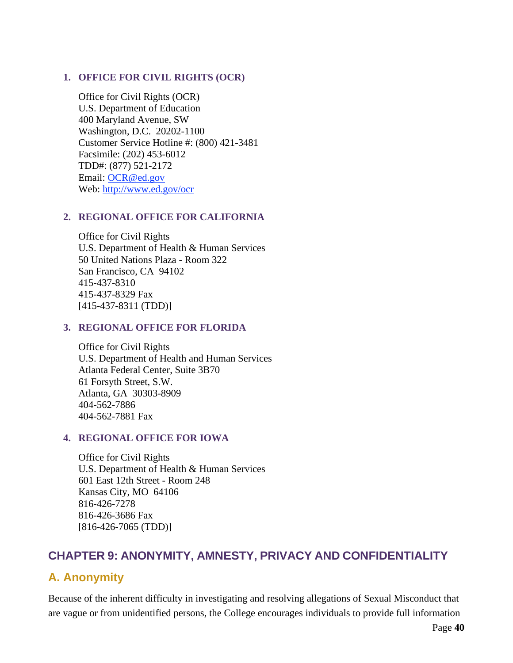#### **1. OFFICE FOR CIVIL RIGHTS (OCR)**

Office for Civil Rights (OCR) U.S. Department of Education 400 Maryland Avenue, SW Washington, D.C. 20202-1100 Customer Service Hotline #: (800) 421-3481 Facsimile: (202) 453-6012 TDD#: (877) 521-2172 Email: [OCR@ed.gov](mailto:OCR@ed.gov) Web: [http://www.ed.gov/ocr](http://www2.ed.gov/about/offices/list/ocr/index.html)

#### **2. REGIONAL OFFICE FOR CALIFORNIA**

Office for Civil Rights U.S. Department of Health & Human Services 50 United Nations Plaza - Room 322 San Francisco, CA 94102 415-437-8310 415-437-8329 Fax [415-437-8311 (TDD)]

#### **3. REGIONAL OFFICE FOR FLORIDA**

Office for Civil Rights U.S. Department of Health and Human Services Atlanta Federal Center, Suite 3B70 61 Forsyth Street, S.W. Atlanta, GA 30303-8909 404-562-7886 404-562-7881 Fax

#### **4. REGIONAL OFFICE FOR IOWA**

Office for Civil Rights U.S. Department of Health & Human Services 601 East 12th Street - Room 248 Kansas City, MO 64106 816-426-7278 816-426-3686 Fax [816-426-7065 (TDD)]

### **CHAPTER 9: ANONYMITY, AMNESTY, PRIVACY AND CONFIDENTIALITY**

### **A. Anonymity**

Because of the inherent difficulty in investigating and resolving allegations of Sexual Misconduct that are vague or from unidentified persons, the College encourages individuals to provide full information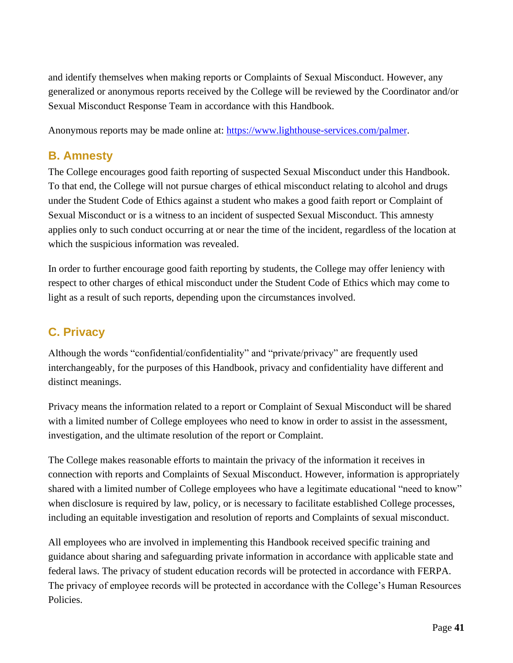and identify themselves when making reports or Complaints of Sexual Misconduct. However, any generalized or anonymous reports received by the College will be reviewed by the Coordinator and/or Sexual Misconduct Response Team in accordance with this Handbook.

Anonymous reports may be made online at: [https://www.lighthouse-services.com/palmer.](https://www.lighthouse-services.com/palmer)

# **B. Amnesty**

The College encourages good faith reporting of suspected Sexual Misconduct under this Handbook. To that end, the College will not pursue charges of ethical misconduct relating to alcohol and drugs under the Student Code of Ethics against a student who makes a good faith report or Complaint of Sexual Misconduct or is a witness to an incident of suspected Sexual Misconduct. This amnesty applies only to such conduct occurring at or near the time of the incident, regardless of the location at which the suspicious information was revealed.

In order to further encourage good faith reporting by students, the College may offer leniency with respect to other charges of ethical misconduct under the Student Code of Ethics which may come to light as a result of such reports, depending upon the circumstances involved.

# **C. Privacy**

Although the words "confidential/confidentiality" and "private/privacy" are frequently used interchangeably, for the purposes of this Handbook, privacy and confidentiality have different and distinct meanings.

Privacy means the information related to a report or Complaint of Sexual Misconduct will be shared with a limited number of College employees who need to know in order to assist in the assessment, investigation, and the ultimate resolution of the report or Complaint.

The College makes reasonable efforts to maintain the privacy of the information it receives in connection with reports and Complaints of Sexual Misconduct. However, information is appropriately shared with a limited number of College employees who have a legitimate educational "need to know" when disclosure is required by law, policy, or is necessary to facilitate established College processes, including an equitable investigation and resolution of reports and Complaints of sexual misconduct.

All employees who are involved in implementing this Handbook received specific training and guidance about sharing and safeguarding private information in accordance with applicable state and federal laws. The privacy of student education records will be protected in accordance with FERPA. The privacy of employee records will be protected in accordance with the College's Human Resources Policies.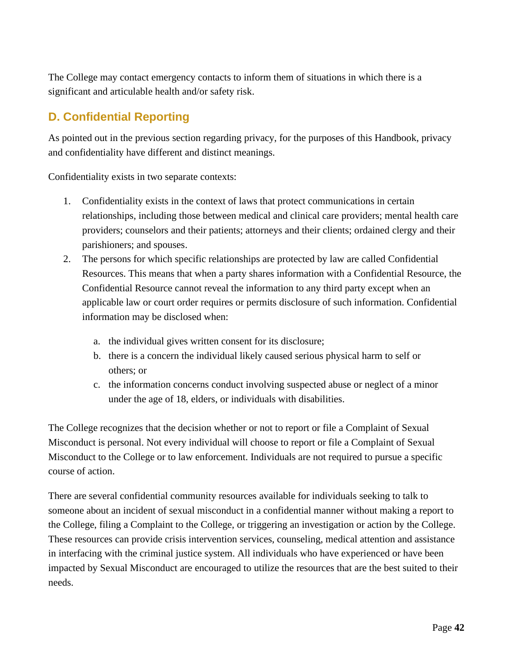The College may contact emergency contacts to inform them of situations in which there is a significant and articulable health and/or safety risk.

# **D. Confidential Reporting**

As pointed out in the previous section regarding privacy, for the purposes of this Handbook, privacy and confidentiality have different and distinct meanings.

Confidentiality exists in two separate contexts:

- 1. Confidentiality exists in the context of laws that protect communications in certain relationships, including those between medical and clinical care providers; mental health care providers; counselors and their patients; attorneys and their clients; ordained clergy and their parishioners; and spouses.
- 2. The persons for which specific relationships are protected by law are called Confidential Resources. This means that when a party shares information with a Confidential Resource, the Confidential Resource cannot reveal the information to any third party except when an applicable law or court order requires or permits disclosure of such information. Confidential information may be disclosed when:
	- a. the individual gives written consent for its disclosure;
	- b. there is a concern the individual likely caused serious physical harm to self or others; or
	- c. the information concerns conduct involving suspected abuse or neglect of a minor under the age of 18, elders, or individuals with disabilities.

The College recognizes that the decision whether or not to report or file a Complaint of Sexual Misconduct is personal. Not every individual will choose to report or file a Complaint of Sexual Misconduct to the College or to law enforcement. Individuals are not required to pursue a specific course of action.

<span id="page-41-0"></span>There are several confidential community resources available for individuals seeking to talk to someone about an incident of sexual misconduct in a confidential manner without making a report to the College, filing a Complaint to the College, or triggering an investigation or action by the College. These resources can provide crisis intervention services, counseling, medical attention and assistance in interfacing with the criminal justice system. All individuals who have experienced or have been impacted by Sexual Misconduct are encouraged to utilize the resources that are the best suited to their needs.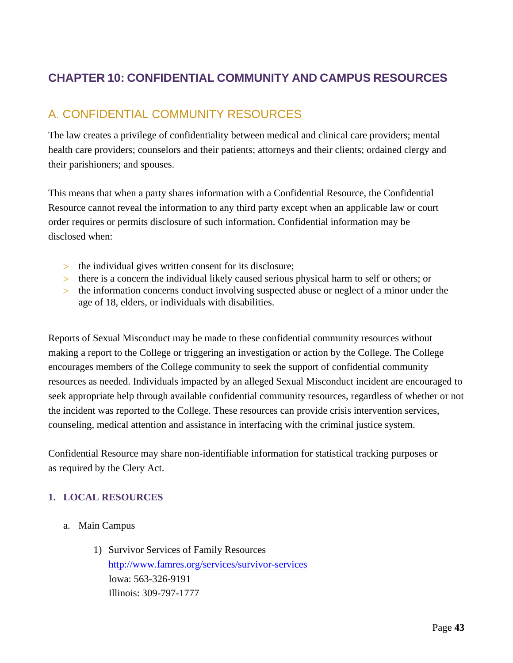# <span id="page-42-0"></span>**CHAPTER 10: CONFIDENTIAL COMMUNITY AND CAMPUS RESOURCES**

# A. CONFIDENTIAL COMMUNITY RESOURCES

The law creates a privilege of confidentiality between medical and clinical care providers; mental health care providers; counselors and their patients; attorneys and their clients; ordained clergy and their parishioners; and spouses.

This means that when a party shares information with a Confidential Resource, the Confidential Resource cannot reveal the information to any third party except when an applicable law or court order requires or permits disclosure of such information. Confidential information may be disclosed when:

- the individual gives written consent for its disclosure;
- there is a concern the individual likely caused serious physical harm to self or others; or
- the information concerns conduct involving suspected abuse or neglect of a minor under the age of 18, elders, or individuals with disabilities.

Reports of Sexual Misconduct may be made to these confidential community resources without making a report to the College or triggering an investigation or action by the College. The College encourages members of the College community to seek the support of confidential community resources as needed. Individuals impacted by an alleged Sexual Misconduct incident are encouraged to seek appropriate help through available confidential community resources, regardless of whether or not the incident was reported to the College. These resources can provide crisis intervention services, counseling, medical attention and assistance in interfacing with the criminal justice system.

Confidential Resource may share non-identifiable information for statistical tracking purposes or as required by the Clery Act.

### **1. LOCAL RESOURCES**

- a. Main Campus
	- 1) Survivor Services of Family Resources <http://www.famres.org/services/survivor-services> Iowa: 563-326-9191 Illinois: 309-797-1777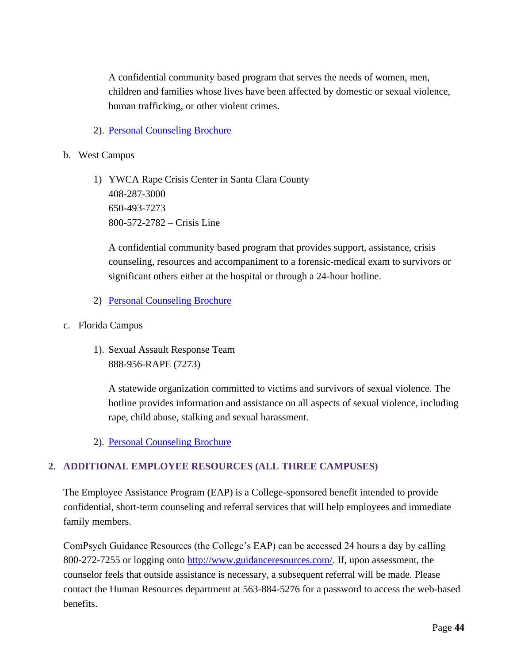A confidential community based program that serves the needs of women, men, children and families whose lives have been affected by domestic or sexual violence, human trafficking, or other violent crimes.

- 2). [Personal Counseling Brochure](https://www.palmer.edu/getmedia/a60dd84b-9fc6-4eeb-813f-800c7f219803/facts-davenport-srap.pdf)
- b. West Campus
	- 1) YWCA Rape Crisis Center in Santa Clara County 408-287-3000 650-493-7273 800-572-2782 – Crisis Line

A confidential community based program that provides support, assistance, crisis counseling, resources and accompaniment to a forensic-medical exam to survivors or significant others either at the hospital or through a 24-hour hotline.

- 2) [Personal Counseling Brochure](http://www.palmer.edu/uploadedFiles/Pages/Students/Academic_Success/Facts_West_srap.pdf)
- c. Florida Campus
	- 1). Sexual Assault Response Team 888-956-RAPE (7273)

A statewide organization committed to victims and survivors of sexual violence. The hotline provides information and assistance on all aspects of sexual violence, including rape, child abuse, stalking and sexual harassment.

2). [Personal Counseling Brochure](https://www.palmer.edu/getmedia/324a61af-6305-4da2-95a5-0c0fb12b7c3b/facts-florida-srap.pdf)

#### **2. ADDITIONAL EMPLOYEE RESOURCES (ALL THREE CAMPUSES)**

The Employee Assistance Program (EAP) is a College-sponsored benefit intended to provide confidential, short-term counseling and referral services that will help employees and immediate family members.

ComPsych Guidance Resources (the College's EAP) can be accessed 24 hours a day by calling 800-272-7255 or logging onto [http://www.guidanceresources.com/.](http://www.guidanceresources.com/) If, upon assessment, the counselor feels that outside assistance is necessary, a subsequent referral will be made. Please contact the Human Resources department at 563-884-5276 for a password to access the web-based benefits.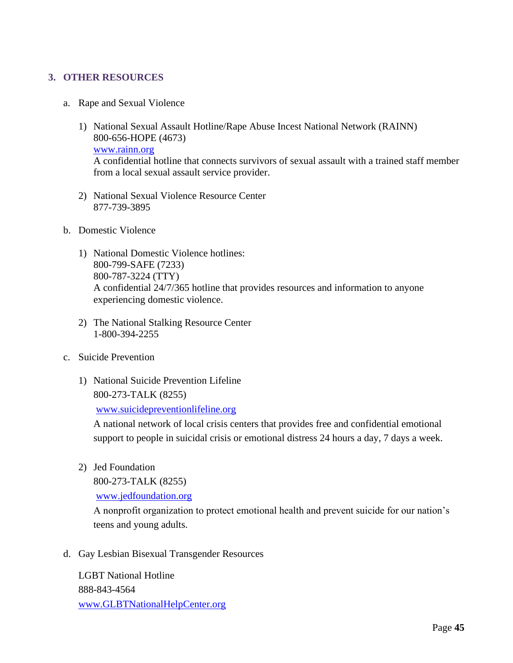#### **3. OTHER RESOURCES**

- a. Rape and Sexual Violence
	- 1) National Sexual Assault Hotline/Rape Abuse Incest National Network (RAINN) 800-656-HOPE (4673) [www.rainn.org](http://www.rainn.org/) A confidential hotline that connects survivors of sexual assault with a trained staff member from a local sexual assault service provider.
	- 2) National Sexual Violence Resource Center 877-739-3895
- b. Domestic Violence
	- 1) National Domestic Violence hotlines: 800-799-SAFE (7233) 800-787-3224 (TTY) A confidential 24/7/365 hotline that provides resources and information to anyone experiencing domestic violence.
	- 2) The National Stalking Resource Center 1-800-394-2255
- c. Suicide Prevention
	- 1) National Suicide Prevention Lifeline 800-273-TALK (8255)

[www.suicidepreventionlifeline.org](http://www.suicidepreventionlifeline.org/)

A national network of local crisis centers that provides free and confidential emotional support to people in suicidal crisis or emotional distress 24 hours a day, 7 days a week.

2) Jed Foundation

800-273-TALK (8255)

[www.jedfoundation.org](http://www.jedfoundation.org/)

A nonprofit organization to protect emotional health and prevent suicide for our nation's teens and young adults.

d. Gay Lesbian Bisexual Transgender Resources

LGBT National Hotline 888-843-4564 [www.GLBTNationalHelpCenter.org](http://www.glbtnationalhelpcenter.org/)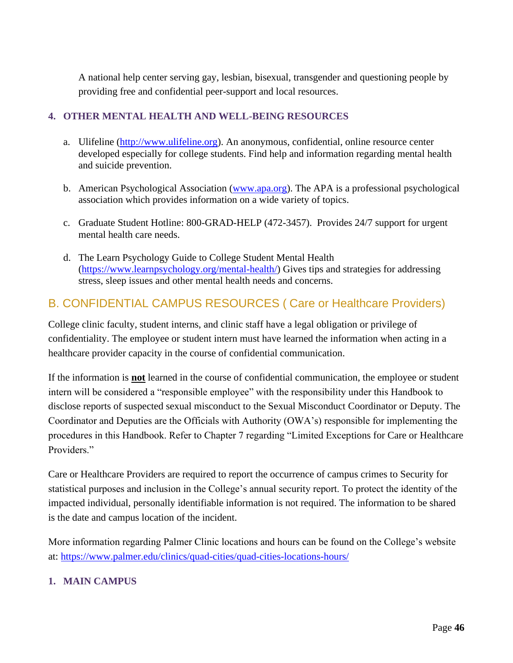A national help center serving gay, lesbian, bisexual, transgender and questioning people by providing free and confidential peer-support and local resources.

#### **4. OTHER MENTAL HEALTH AND WELL-BEING RESOURCES**

- a. Ulifeline [\(http://www.ulifeline.org\)](http://www.ulifeline.org/). An anonymous, confidential, online resource center developed especially for college students. Find help and information regarding mental health and suicide prevention.
- b. American Psychological Association [\(www.apa.org\)](http://www.apa.org/). The APA is a professional psychological association which provides information on a wide variety of topics.
- c. Graduate Student Hotline: 800-GRAD-HELP (472-3457). Provides 24/7 support for urgent mental health care needs.
- d. The Learn Psychology Guide to College Student Mental Health [\(https://www.learnpsychology.org/mental-health/\)](https://www.learnpsychology.org/mental-health/) Gives tips and strategies for addressing stress, sleep issues and other mental health needs and concerns.

# B. CONFIDENTIAL CAMPUS RESOURCES ( Care or Healthcare Providers)

College clinic faculty, student interns, and clinic staff have a legal obligation or privilege of confidentiality. The employee or student intern must have learned the information when acting in a healthcare provider capacity in the course of confidential communication.

If the information is **not** learned in the course of confidential communication, the employee or student intern will be considered a "responsible employee" with the responsibility under this Handbook to disclose reports of suspected sexual misconduct to the Sexual Misconduct Coordinator or Deputy. The Coordinator and Deputies are the Officials with Authority (OWA's) responsible for implementing the procedures in this Handbook. Refer to Chapter 7 regarding "Limited Exceptions for Care or Healthcare Providers."

Care or Healthcare Providers are required to report the occurrence of campus crimes to Security for statistical purposes and inclusion in the College's annual security report. To protect the identity of the impacted individual, personally identifiable information is not required. The information to be shared is the date and campus location of the incident.

More information regarding Palmer Clinic locations and hours can be found on the College's website at:<https://www.palmer.edu/clinics/quad-cities/quad-cities-locations-hours/>

### **1. MAIN CAMPUS**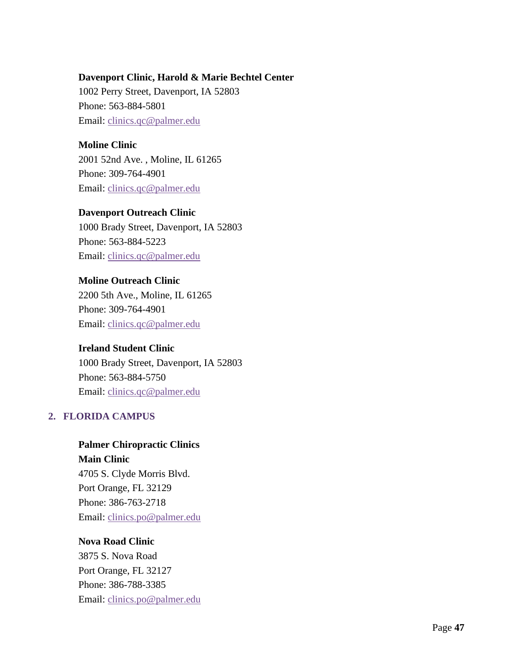#### **Davenport Clinic, Harold & Marie Bechtel Center**

1002 Perry Street, Davenport, IA 52803 Phone: 563-884-5801 Email: [clinics.qc@palmer.edu](mailto:clinics.qc@palmer.edu?subject=Website%20info%20request)

#### **Moline Clinic**

2001 52nd Ave. , Moline, IL 61265 Phone: 309-764-4901 Email: [clinics.qc@palmer.edu](mailto:clinics.qc@palmer.edu?subject=Website%20info%20request)

#### **Davenport Outreach Clinic**

1000 Brady Street, Davenport, IA 52803 Phone: 563-884-5223 Email: [clinics.qc@palmer.edu](mailto:clinics.qc@palmer.edu?subject=Website%20info%20request)

#### **Moline Outreach Clinic**

2200 5th Ave., Moline, IL 61265 Phone: 309-764-4901 Email: [clinics.qc@palmer.edu](mailto:clinics.qc@palmer.edu?subject=Website%20info%20request)

### **Ireland Student Clinic**

1000 Brady Street, Davenport, IA 52803 Phone: 563-884-5750 Email: [clinics.qc@palmer.edu](mailto:clinics.qc@palmer.edu?subject=Website%20request%20info)

### **2. FLORIDA CAMPUS**

### **Palmer Chiropractic Clinics**

**Main Clinic** 4705 S. Clyde Morris Blvd. Port Orange, FL 32129 Phone: 386-763-2718 Email: [clinics.po@palmer.edu](mailto:clinics.po@palmer.edu?subject=Website%20info%20request)

#### **Nova Road Clinic**

3875 S. Nova Road Port Orange, FL 32127 Phone: 386-788-3385 Email: [clinics.po@palmer.edu](mailto:clinics.po@palmer.edu?subject=Website%20info%20request)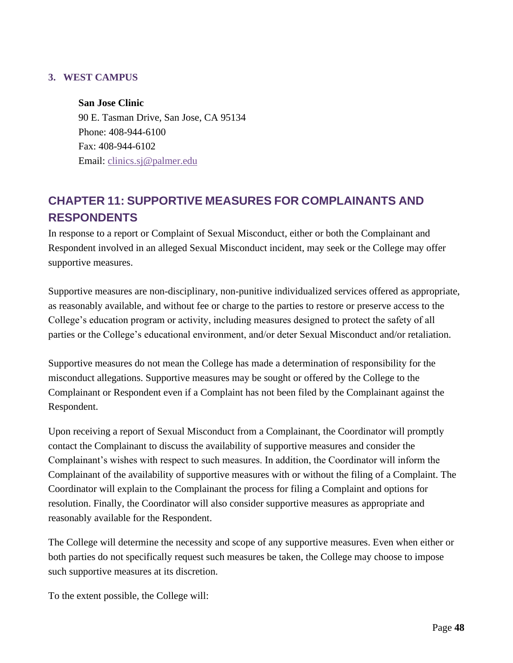#### **3. WEST CAMPUS**

#### **San Jose Clinic**

90 E. Tasman Drive, San Jose, CA 95134 Phone: 408-944-6100 Fax: 408-944-6102 Email: [clinics.sj@palmer.edu](mailto:clinics.sj@palmer.edu?subject=Website%20info%20request)

# **CHAPTER 11: SUPPORTIVE MEASURES FOR COMPLAINANTS AND RESPONDENTS**

In response to a report or Complaint of Sexual Misconduct, either or both the Complainant and Respondent involved in an alleged Sexual Misconduct incident, may seek or the College may offer supportive measures.

Supportive measures are non-disciplinary, non-punitive individualized services offered as appropriate, as reasonably available, and without fee or charge to the parties to restore or preserve access to the College's education program or activity, including measures designed to protect the safety of all parties or the College's educational environment, and/or deter Sexual Misconduct and/or retaliation.

Supportive measures do not mean the College has made a determination of responsibility for the misconduct allegations. Supportive measures may be sought or offered by the College to the Complainant or Respondent even if a Complaint has not been filed by the Complainant against the Respondent.

Upon receiving a report of Sexual Misconduct from a Complainant, the Coordinator will promptly contact the Complainant to discuss the availability of supportive measures and consider the Complainant's wishes with respect to such measures. In addition, the Coordinator will inform the Complainant of the availability of supportive measures with or without the filing of a Complaint. The Coordinator will explain to the Complainant the process for filing a Complaint and options for resolution. Finally, the Coordinator will also consider supportive measures as appropriate and reasonably available for the Respondent.

The College will determine the necessity and scope of any supportive measures. Even when either or both parties do not specifically request such measures be taken, the College may choose to impose such supportive measures at its discretion.

To the extent possible, the College will: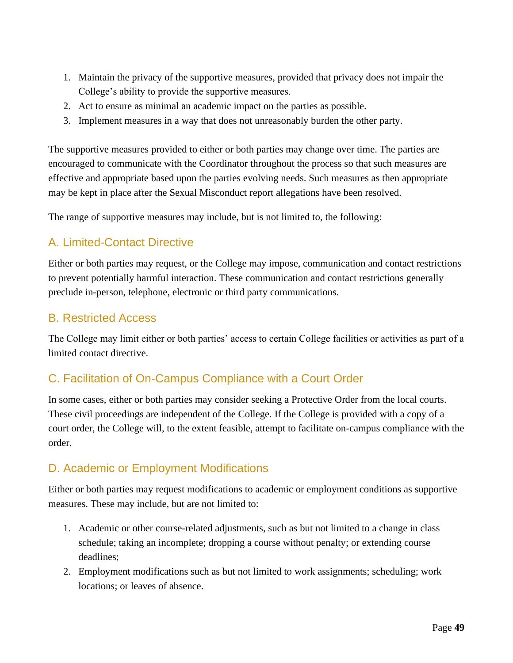- 1. Maintain the privacy of the supportive measures, provided that privacy does not impair the College's ability to provide the supportive measures.
- 2. Act to ensure as minimal an academic impact on the parties as possible.
- 3. Implement measures in a way that does not unreasonably burden the other party.

The supportive measures provided to either or both parties may change over time. The parties are encouraged to communicate with the Coordinator throughout the process so that such measures are effective and appropriate based upon the parties evolving needs. Such measures as then appropriate may be kept in place after the Sexual Misconduct report allegations have been resolved.

The range of supportive measures may include, but is not limited to, the following:

# A. Limited-Contact Directive

Either or both parties may request, or the College may impose, communication and contact restrictions to prevent potentially harmful interaction. These communication and contact restrictions generally preclude in-person, telephone, electronic or third party communications.

### B. Restricted Access

The College may limit either or both parties' access to certain College facilities or activities as part of a limited contact directive.

# C. Facilitation of On-Campus Compliance with a Court Order

In some cases, either or both parties may consider seeking a Protective Order from the local courts. These civil proceedings are independent of the College. If the College is provided with a copy of a court order, the College will, to the extent feasible, attempt to facilitate on-campus compliance with the order.

### D. Academic or Employment Modifications

Either or both parties may request modifications to academic or employment conditions as supportive measures. These may include, but are not limited to:

- 1. Academic or other course-related adjustments, such as but not limited to a change in class schedule; taking an incomplete; dropping a course without penalty; or extending course deadlines;
- 2. Employment modifications such as but not limited to work assignments; scheduling; work locations; or leaves of absence.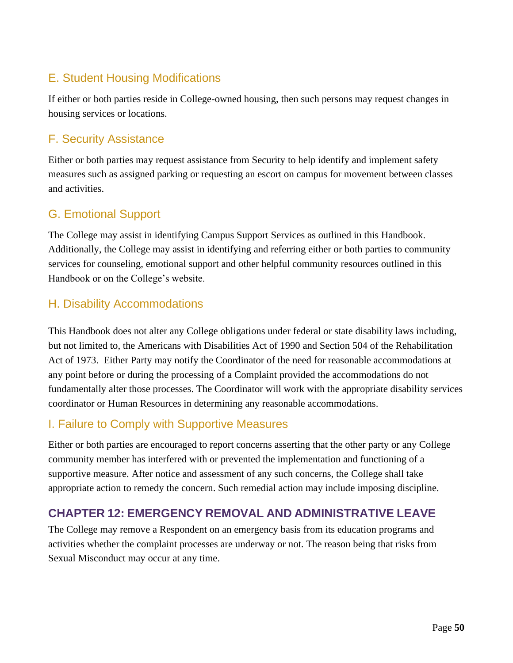# E. Student Housing Modifications

If either or both parties reside in College-owned housing, then such persons may request changes in housing services or locations.

## F. Security Assistance

Either or both parties may request assistance from Security to help identify and implement safety measures such as assigned parking or requesting an escort on campus for movement between classes and activities.

## G. Emotional Support

The College may assist in identifying Campus Support Services as outlined in this Handbook. Additionally, the College may assist in identifying and referring either or both parties to community services for counseling, emotional support and other helpful community resources outlined in this Handbook or on the College's website.

## H. Disability Accommodations

This Handbook does not alter any College obligations under federal or state disability laws including, but not limited to, the Americans with Disabilities Act of 1990 and Section 504 of the Rehabilitation Act of 1973. Either Party may notify the Coordinator of the need for reasonable accommodations at any point before or during the processing of a Complaint provided the accommodations do not fundamentally alter those processes. The Coordinator will work with the appropriate disability services coordinator or Human Resources in determining any reasonable accommodations.

### I. Failure to Comply with Supportive Measures

Either or both parties are encouraged to report concerns asserting that the other party or any College community member has interfered with or prevented the implementation and functioning of a supportive measure. After notice and assessment of any such concerns, the College shall take appropriate action to remedy the concern. Such remedial action may include imposing discipline.

### **CHAPTER 12: EMERGENCY REMOVAL AND ADMINISTRATIVE LEAVE**

The College may remove a Respondent on an emergency basis from its education programs and activities whether the complaint processes are underway or not. The reason being that risks from Sexual Misconduct may occur at any time.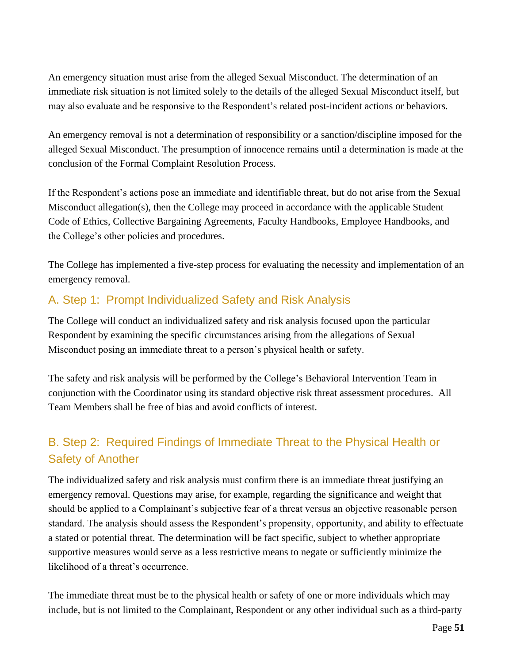An emergency situation must arise from the alleged Sexual Misconduct. The determination of an immediate risk situation is not limited solely to the details of the alleged Sexual Misconduct itself, but may also evaluate and be responsive to the Respondent's related post-incident actions or behaviors.

An emergency removal is not a determination of responsibility or a sanction/discipline imposed for the alleged Sexual Misconduct. The presumption of innocence remains until a determination is made at the conclusion of the Formal Complaint Resolution Process.

If the Respondent's actions pose an immediate and identifiable threat, but do not arise from the Sexual Misconduct allegation(s), then the College may proceed in accordance with the applicable Student Code of Ethics, Collective Bargaining Agreements, Faculty Handbooks, Employee Handbooks, and the College's other policies and procedures.

The College has implemented a five-step process for evaluating the necessity and implementation of an emergency removal.

# A. Step 1: Prompt Individualized Safety and Risk Analysis

The College will conduct an individualized safety and risk analysis focused upon the particular Respondent by examining the specific circumstances arising from the allegations of Sexual Misconduct posing an immediate threat to a person's physical health or safety.

The safety and risk analysis will be performed by the College's Behavioral Intervention Team in conjunction with the Coordinator using its standard objective risk threat assessment procedures. All Team Members shall be free of bias and avoid conflicts of interest.

# B. Step 2: Required Findings of Immediate Threat to the Physical Health or Safety of Another

The individualized safety and risk analysis must confirm there is an immediate threat justifying an emergency removal. Questions may arise, for example, regarding the significance and weight that should be applied to a Complainant's subjective fear of a threat versus an objective reasonable person standard. The analysis should assess the Respondent's propensity, opportunity, and ability to effectuate a stated or potential threat. The determination will be fact specific, subject to whether appropriate supportive measures would serve as a less restrictive means to negate or sufficiently minimize the likelihood of a threat's occurrence.

The immediate threat must be to the physical health or safety of one or more individuals which may include, but is not limited to the Complainant, Respondent or any other individual such as a third-party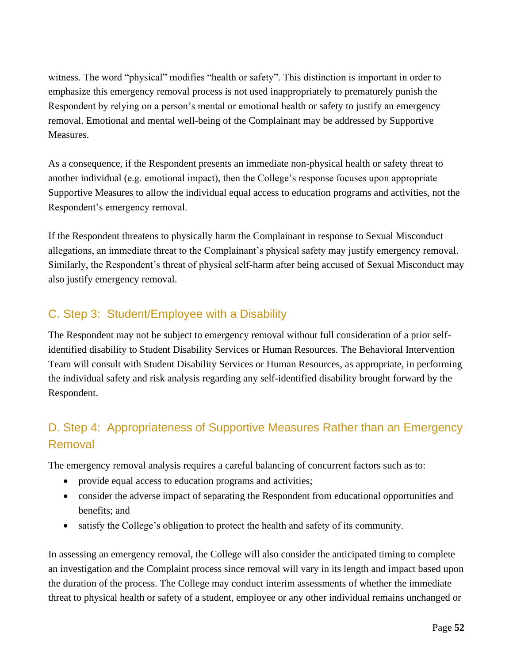witness. The word "physical" modifies "health or safety". This distinction is important in order to emphasize this emergency removal process is not used inappropriately to prematurely punish the Respondent by relying on a person's mental or emotional health or safety to justify an emergency removal. Emotional and mental well-being of the Complainant may be addressed by Supportive Measures.

As a consequence, if the Respondent presents an immediate non-physical health or safety threat to another individual (e.g. emotional impact), then the College's response focuses upon appropriate Supportive Measures to allow the individual equal access to education programs and activities, not the Respondent's emergency removal.

If the Respondent threatens to physically harm the Complainant in response to Sexual Misconduct allegations, an immediate threat to the Complainant's physical safety may justify emergency removal. Similarly, the Respondent's threat of physical self-harm after being accused of Sexual Misconduct may also justify emergency removal.

# C. Step 3: Student/Employee with a Disability

The Respondent may not be subject to emergency removal without full consideration of a prior selfidentified disability to Student Disability Services or Human Resources. The Behavioral Intervention Team will consult with Student Disability Services or Human Resources, as appropriate, in performing the individual safety and risk analysis regarding any self-identified disability brought forward by the Respondent.

# D. Step 4: Appropriateness of Supportive Measures Rather than an Emergency Removal

The emergency removal analysis requires a careful balancing of concurrent factors such as to:

- provide equal access to education programs and activities;
- consider the adverse impact of separating the Respondent from educational opportunities and benefits; and
- satisfy the College's obligation to protect the health and safety of its community.

In assessing an emergency removal, the College will also consider the anticipated timing to complete an investigation and the Complaint process since removal will vary in its length and impact based upon the duration of the process. The College may conduct interim assessments of whether the immediate threat to physical health or safety of a student, employee or any other individual remains unchanged or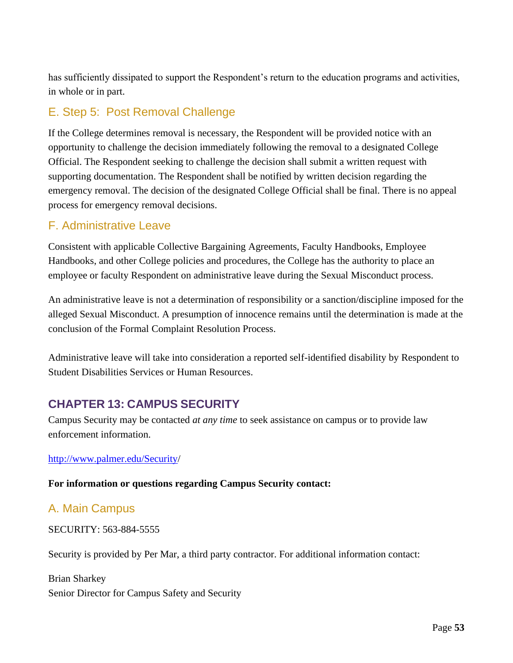has sufficiently dissipated to support the Respondent's return to the education programs and activities, in whole or in part.

# E. Step 5: Post Removal Challenge

If the College determines removal is necessary, the Respondent will be provided notice with an opportunity to challenge the decision immediately following the removal to a designated College Official. The Respondent seeking to challenge the decision shall submit a written request with supporting documentation. The Respondent shall be notified by written decision regarding the emergency removal. The decision of the designated College Official shall be final. There is no appeal process for emergency removal decisions.

## F. Administrative Leave

Consistent with applicable Collective Bargaining Agreements, Faculty Handbooks, Employee Handbooks, and other College policies and procedures, the College has the authority to place an employee or faculty Respondent on administrative leave during the Sexual Misconduct process.

An administrative leave is not a determination of responsibility or a sanction/discipline imposed for the alleged Sexual Misconduct. A presumption of innocence remains until the determination is made at the conclusion of the Formal Complaint Resolution Process.

Administrative leave will take into consideration a reported self-identified disability by Respondent to Student Disabilities Services or Human Resources.

# **CHAPTER 13: CAMPUS SECURITY**

Campus Security may be contacted *at any time* to seek assistance on campus or to provide law enforcement information.

#### [http://www.palmer.edu/Security/](http://www.palmer.edu/Security)

**For information or questions regarding Campus Security contact:**

### A. Main Campus

SECURITY: 563-884-5555

Security is provided by Per Mar, a third party contractor. For additional information contact:

Brian Sharkey Senior Director for Campus Safety and Security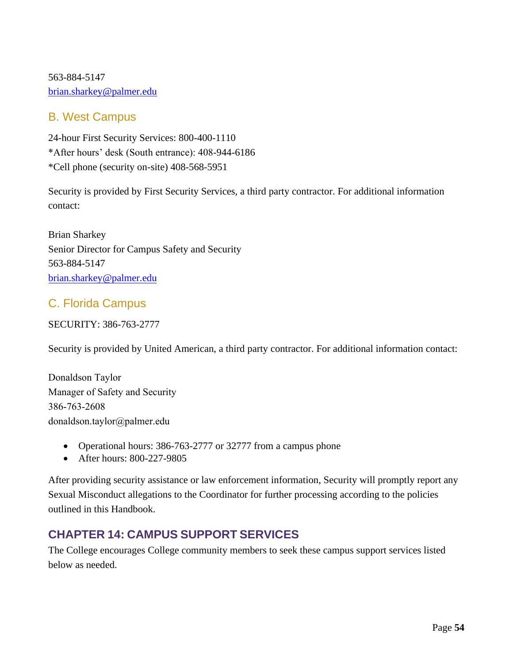563-884-5147 [brian.sharkey@palmer.edu](mailto:brian.sharkey@palmer.edu)

### B. West Campus

24-hour First Security Services: 800-400-1110 \*After hours' desk (South entrance): 408-944-6186 \*Cell phone (security on-site) 408-568-5951

Security is provided by First Security Services, a third party contractor. For additional information contact:

Brian Sharkey Senior Director for Campus Safety and Security 563-884-5147 [brian.sharkey@palmer.edu](mailto:brian.sharkey@palmer.edu)

# C. Florida Campus

SECURITY: 386-763-2777

Security is provided by United American, a third party contractor. For additional information contact:

Donaldson Taylor Manager of Safety and Security 386-763-2608 [donaldson.taylor@palmer.e](mailto:brian.sharkey@palmer.edu)du

- Operational hours: 386-763-2777 or 32777 from a campus phone
- After hours: 800-227-9805

After providing security assistance or law enforcement information, Security will promptly report any Sexual Misconduct allegations to the Coordinator for further processing according to the policies outlined in this Handbook.

# **CHAPTER 14: CAMPUS SUPPORT SERVICES**

The College encourages College community members to seek these campus support services listed below as needed.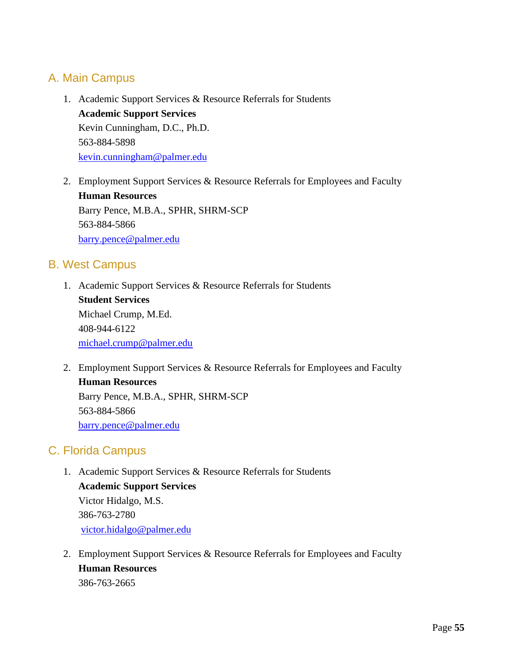### A. Main Campus

- 1. Academic Support Services & Resource Referrals for Students **Academic Support Services** Kevin Cunningham, D.C., Ph.D. 563-884-5898 [kevin.cunningham@palmer.edu](mailto:kevin.cunningham@palmer.edu)
- 2. Employment Support Services & Resource Referrals for Employees and Faculty **Human Resources** Barry Pence, M.B.A., SPHR, SHRM-SCP 563-884-5866 [barry.pence@palmer.edu](mailto:barry.pence@palmer.edu)

### B. West Campus

- 1. Academic Support Services & Resource Referrals for Students **Student Services** Michael Crump, M.Ed. 408-944-6122 [michael.crump@palmer.edu](mailto:mannal.kamal@palmer.edu)
- 2. Employment Support Services & Resource Referrals for Employees and Faculty **Human Resources** Barry Pence, M.B.A., SPHR, SHRM-SCP 563-884-5866 [barry.pence@palmer.edu](mailto:barry.pence@palmer.edu)

### C. Florida Campus

- 1. Academic Support Services & Resource Referrals for Students **Academic Support Services** Victor Hidalgo, M.S. 386-763-2780 [victor.hidalgo@palmer.edu](mailto:victor.hidalgo@palmer.edu)
- 2. Employment Support Services & Resource Referrals for Employees and Faculty **Human Resources** 386-763-2665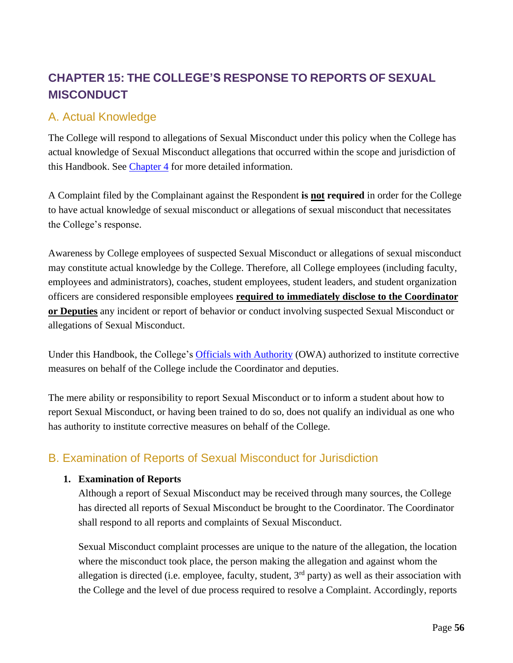# <span id="page-55-0"></span>**CHAPTER 15: THE COLLEGE'S RESPONSE TO REPORTS OF SEXUAL MISCONDUCT**

### A. Actual Knowledge

The College will respond to allegations of Sexual Misconduct under this policy when the College has actual knowledge of Sexual Misconduct allegations that occurred within the scope and jurisdiction of this Handbook. See [Chapter 4](#page-16-0) for more detailed information.

A Complaint filed by the Complainant against the Respondent **is not required** in order for the College to have actual knowledge of sexual misconduct or allegations of sexual misconduct that necessitates the College's response.

Awareness by College employees of suspected Sexual Misconduct or allegations of sexual misconduct may constitute actual knowledge by the College. Therefore, all College employees (including faculty, employees and administrators), coaches, student employees, student leaders, and student organization officers are considered responsible employees **required to immediately disclose to the Coordinator or Deputies** any incident or report of behavior or conduct involving suspected Sexual Misconduct or allegations of Sexual Misconduct.

Under this Handbook, the College's Officials [with Authority](#page-9-0) (OWA) authorized to institute corrective measures on behalf of the College include the Coordinator and deputies.

The mere ability or responsibility to report Sexual Misconduct or to inform a student about how to report Sexual Misconduct, or having been trained to do so, does not qualify an individual as one who has authority to institute corrective measures on behalf of the College.

# B. Examination of Reports of Sexual Misconduct for Jurisdiction

#### **1. Examination of Reports**

Although a report of Sexual Misconduct may be received through many sources, the College has directed all reports of Sexual Misconduct be brought to the Coordinator. The Coordinator shall respond to all reports and complaints of Sexual Misconduct.

Sexual Misconduct complaint processes are unique to the nature of the allegation, the location where the misconduct took place, the person making the allegation and against whom the allegation is directed (i.e. employee, faculty, student,  $3<sup>rd</sup>$  party) as well as their association with the College and the level of due process required to resolve a Complaint. Accordingly, reports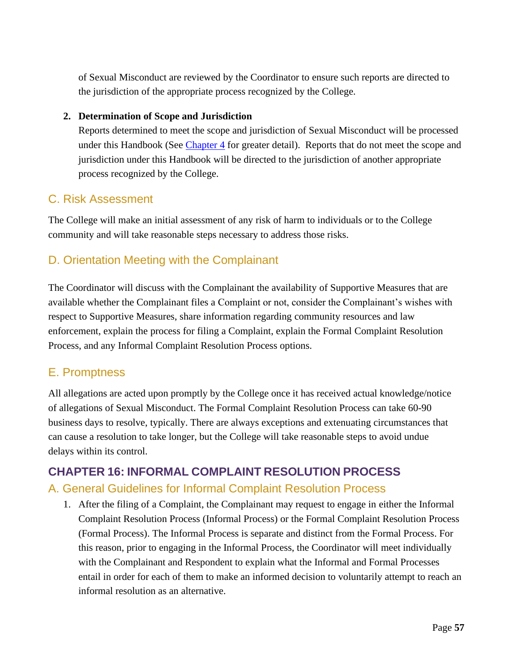of Sexual Misconduct are reviewed by the Coordinator to ensure such reports are directed to the jurisdiction of the appropriate process recognized by the College.

#### **2. Determination of Scope and Jurisdiction**

Reports determined to meet the scope and jurisdiction of Sexual Misconduct will be processed under this Handbook (See [Chapter 4](#page-16-0) for greater detail). Reports that do not meet the scope and jurisdiction under this Handbook will be directed to the jurisdiction of another appropriate process recognized by the College.

### C. Risk Assessment

The College will make an initial assessment of any risk of harm to individuals or to the College community and will take reasonable steps necessary to address those risks.

## D. Orientation Meeting with the Complainant

The Coordinator will discuss with the Complainant the availability of [Supportive Measures](#page-42-0) that are available whether the Complainant files a Complaint or not, consider the Complainant's wishes with respect to Supportive Measures, share information regarding [community resources](#page-55-0) and [law](#page-38-0)  [enforcement,](#page-38-0) explain the process for filing a [Complaint,](#page-36-0) explain the Formal Complaint Resolution Process, and any Informal Complaint Resolution Process options.

### E. Promptness

All allegations are acted upon promptly by the College once it has received actual knowledge/notice of allegations of Sexual Misconduct. The Formal Complaint Resolution Process can take 60-90 business days to resolve, typically. There are always exceptions and extenuating circumstances that can cause a resolution to take longer, but the College will take reasonable steps to avoid undue delays within its control.

### <span id="page-56-0"></span>**CHAPTER 16: INFORMAL COMPLAINT RESOLUTION PROCESS**

### A. General Guidelines for Informal Complaint Resolution Process

1. After the filing of a Complaint, the Complainant may request to engage in either the Informal Complaint Resolution Process (Informal Process) or the Formal Complaint Resolution Process (Formal Process). The Informal Process is separate and distinct from the Formal Process. For this reason, prior to engaging in the Informal Process, the Coordinator will meet individually with the Complainant and Respondent to explain what the Informal and Formal Processes entail in order for each of them to make an informed decision to voluntarily attempt to reach an informal resolution as an alternative.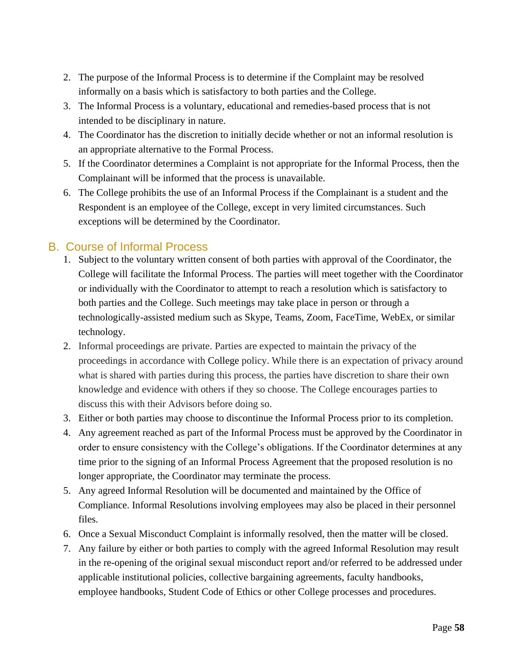- 2. The purpose of the Informal Process is to determine if the Complaint may be resolved informally on a basis which is satisfactory to both parties and the College.
- 3. The Informal Process is a voluntary, educational and remedies-based process that is not intended to be disciplinary in nature.
- 4. The Coordinator has the discretion to initially decide whether or not an informal resolution is an appropriate alternative to the Formal Process.
- 5. If the Coordinator determines a Complaint is not appropriate for the Informal Process, then the Complainant will be informed that the process is unavailable.
- 6. The College prohibits the use of an Informal Process if the Complainant is a student and the Respondent is an employee of the College, except in very limited circumstances. Such exceptions will be determined by the Coordinator.

### B. Course of Informal Process

- 1. Subject to the voluntary written consent of both parties with approval of the Coordinator, the College will facilitate the Informal Process. The parties will meet together with the Coordinator or individually with the Coordinator to attempt to reach a resolution which is satisfactory to both parties and the College. Such meetings may take place in person or through a technologically-assisted medium such as Skype, Teams, Zoom, FaceTime, WebEx, or similar technology.
- 2. Informal proceedings are private. Parties are expected to maintain the privacy of the proceedings in accordance with College policy. While there is an expectation of privacy around what is shared with parties during this process, the parties have discretion to share their own knowledge and evidence with others if they so choose. The College encourages parties to discuss this with their Advisors before doing so.
- 3. Either or both parties may choose to discontinue the Informal Process prior to its completion.
- 4. Any agreement reached as part of the Informal Process must be approved by the Coordinator in order to ensure consistency with the College's obligations. If the Coordinator determines at any time prior to the signing of an Informal Process Agreement that the proposed resolution is no longer appropriate, the Coordinator may terminate the process.
- 5. Any agreed Informal Resolution will be documented and maintained by the Office of Compliance. Informal Resolutions involving employees may also be placed in their personnel files.
- 6. Once a Sexual Misconduct Complaint is informally resolved, then the matter will be closed.
- 7. Any failure by either or both parties to comply with the agreed Informal Resolution may result in the re-opening of the original sexual misconduct report and/or referred to be addressed under applicable institutional policies, collective bargaining agreements, faculty handbooks, employee handbooks, Student Code of Ethics or other College processes and procedures.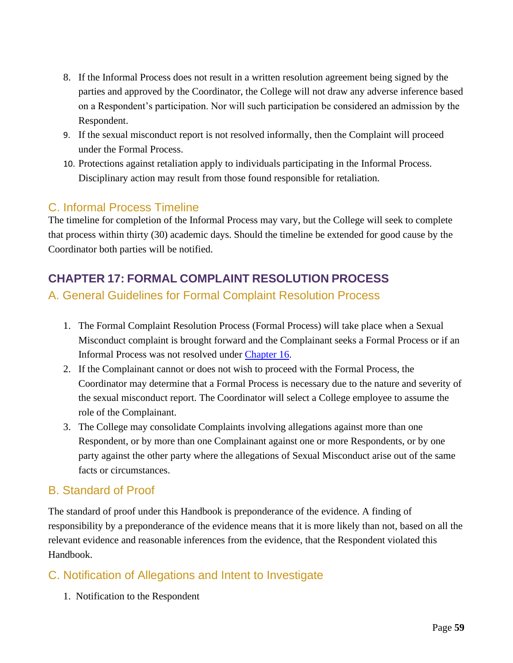- 8. If the Informal Process does not result in a written resolution agreement being signed by the parties and approved by the Coordinator, the College will not draw any adverse inference based on a Respondent's participation. Nor will such participation be considered an admission by the Respondent.
- 9. If the sexual misconduct report is not resolved informally, then the Complaint will proceed under the Formal Process.
- 10. Protections against retaliation apply to individuals participating in the Informal Process. Disciplinary action may result from those found responsible for retaliation.

### C. Informal Process Timeline

The timeline for completion of the Informal Process may vary, but the College will seek to complete that process within thirty (30) academic days. Should the timeline be extended for good cause by the Coordinator both parties will be notified.

# <span id="page-58-0"></span>**CHAPTER 17: FORMAL COMPLAINT RESOLUTION PROCESS**

### A. General Guidelines for Formal Complaint Resolution Process

- 1. The Formal Complaint Resolution Process (Formal Process) will take place when a Sexual Misconduct complaint is brought forward and the Complainant seeks a Formal Process or if an Informal Process was not resolved under [Chapter 16.](#page-56-0)
- 2. If the Complainant cannot or does not wish to proceed with the Formal Process, the Coordinator may determine that a Formal Process is necessary due to the nature and severity of the sexual misconduct report. The Coordinator will select a College employee to assume the role of the Complainant.
- 3. The College may consolidate Complaints involving allegations against more than one Respondent, or by more than one Complainant against one or more Respondents, or by one party against the other party where the allegations of Sexual Misconduct arise out of the same facts or circumstances.

### B. Standard of Proof

The standard of proof under this Handbook is preponderance of the evidence. A finding of responsibility by a preponderance of the evidence means that it is more likely than not, based on all the relevant evidence and reasonable inferences from the evidence, that the Respondent violated this Handbook.

# C. Notification of Allegations and Intent to Investigate

1. Notification to the Respondent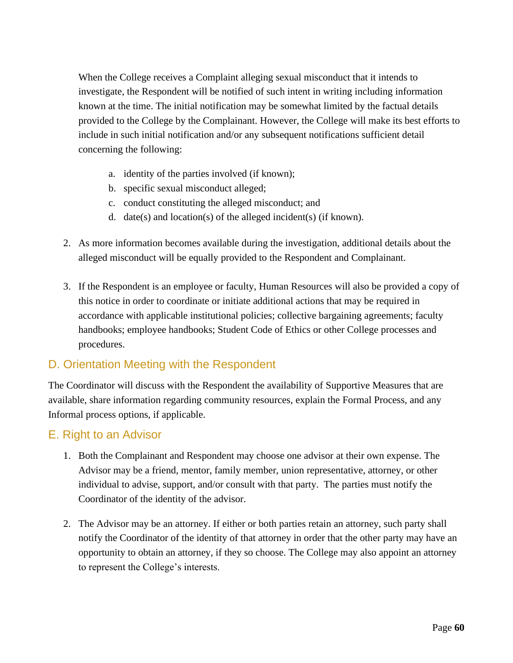When the College receives a Complaint alleging sexual misconduct that it intends to investigate, the Respondent will be notified of such intent in writing including information known at the time. The initial notification may be somewhat limited by the factual details provided to the College by the Complainant. However, the College will make its best efforts to include in such initial notification and/or any subsequent notifications sufficient detail concerning the following:

- a. identity of the parties involved (if known);
- b. specific sexual misconduct alleged;
- c. conduct constituting the alleged misconduct; and
- d. date(s) and location(s) of the alleged incident(s) (if known).
- 2. As more information becomes available during the investigation, additional details about the alleged misconduct will be equally provided to the Respondent and Complainant.
- 3. If the Respondent is an employee or faculty, Human Resources will also be provided a copy of this notice in order to coordinate or initiate additional actions that may be required in accordance with applicable institutional policies; collective bargaining agreements; faculty handbooks; employee handbooks; Student Code of Ethics or other College processes and procedures.

### D. Orientation Meeting with the Respondent

The Coordinator will discuss with the Respondent the availability of [Supportive Measures](#page-42-0) that are available, share information regarding [community resources,](#page-55-0) explain the Formal Process, and any Informal process options, if applicable.

### E. Right to an Advisor

- 1. Both the Complainant and Respondent may choose one advisor at their own expense. The Advisor may be a friend, mentor, family member, union representative, attorney, or other individual to advise, support, and/or consult with that party. The parties must notify the Coordinator of the identity of the advisor.
- 2. The Advisor may be an attorney. If either or both parties retain an attorney, such party shall notify the Coordinator of the identity of that attorney in order that the other party may have an opportunity to obtain an attorney, if they so choose. The College may also appoint an attorney to represent the College's interests.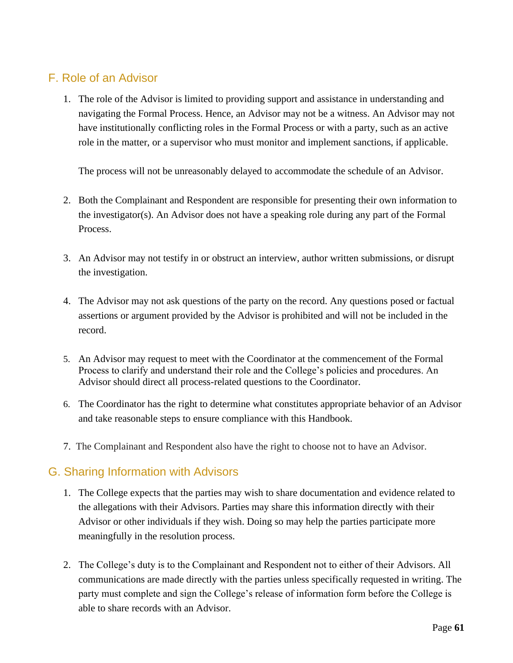## F. Role of an Advisor

1. The role of the Advisor is limited to providing support and assistance in understanding and navigating the Formal Process. Hence, an Advisor may not be a witness. An Advisor may not have institutionally conflicting roles in the Formal Process or with a party, such as an active role in the matter, or a supervisor who must monitor and implement sanctions, if applicable.

The process will not be unreasonably delayed to accommodate the schedule of an Advisor.

- 2. Both the Complainant and Respondent are responsible for presenting their own information to the investigator(s). An Advisor does not have a speaking role during any part of the Formal Process.
- 3. An Advisor may not testify in or obstruct an interview, author written submissions, or disrupt the investigation.
- 4. The Advisor may not ask questions of the party on the record. Any questions posed or factual assertions or argument provided by the Advisor is prohibited and will not be included in the record.
- 5. An Advisor may request to meet with the Coordinator at the commencement of the Formal Process to clarify and understand their role and the College's policies and procedures. An Advisor should direct all process-related questions to the Coordinator.
- 6. The Coordinator has the right to determine what constitutes appropriate behavior of an Advisor and take reasonable steps to ensure compliance with this Handbook.
- 7. The Complainant and Respondent also have the right to choose not to have an Advisor.

### G. Sharing Information with Advisors

- 1. The College expects that the parties may wish to share documentation and evidence related to the allegations with their Advisors. Parties may share this information directly with their Advisor or other individuals if they wish. Doing so may help the parties participate more meaningfully in the resolution process.
- 2. The College's duty is to the Complainant and Respondent not to either of their Advisors. All communications are made directly with the parties unless specifically requested in writing. The party must complete and sign the College's release of information form before the College is able to share records with an Advisor.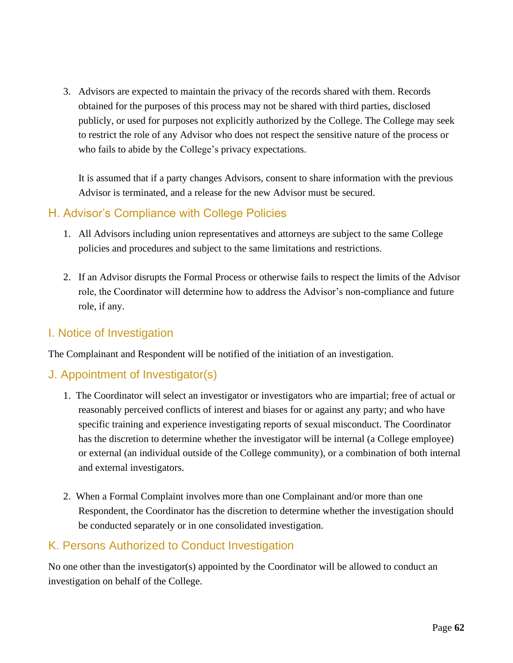3. Advisors are expected to maintain the privacy of the records shared with them. Records obtained for the purposes of this process may not be shared with third parties, disclosed publicly, or used for purposes not explicitly authorized by the College. The College may seek to restrict the role of any Advisor who does not respect the sensitive nature of the process or who fails to abide by the College's privacy expectations.

It is assumed that if a party changes Advisors, consent to share information with the previous Advisor is terminated, and a release for the new Advisor must be secured.

### H. Advisor's Compliance with College Policies

- 1. All Advisors including union representatives and attorneys are subject to the same College policies and procedures and subject to the same limitations and restrictions.
- 2. If an Advisor disrupts the Formal Process or otherwise fails to respect the limits of the Advisor role, the Coordinator will determine how to address the Advisor's non-compliance and future role, if any.

### I. Notice of Investigation

The Complainant and Respondent will be notified of the initiation of an investigation.

### J. Appointment of Investigator(s)

- 1. The Coordinator will select an investigator or investigators who are impartial; free of actual or reasonably perceived conflicts of interest and biases for or against any party; and who have specific training and experience investigating reports of sexual misconduct. The Coordinator has the discretion to determine whether the investigator will be internal (a College employee) or external (an individual outside of the College community), or a combination of both internal and external investigators.
- 2. When a Formal Complaint involves more than one Complainant and/or more than one Respondent, the Coordinator has the discretion to determine whether the investigation should be conducted separately or in one consolidated investigation.

### K. Persons Authorized to Conduct Investigation

No one other than the investigator(s) appointed by the Coordinator will be allowed to conduct an investigation on behalf of the College.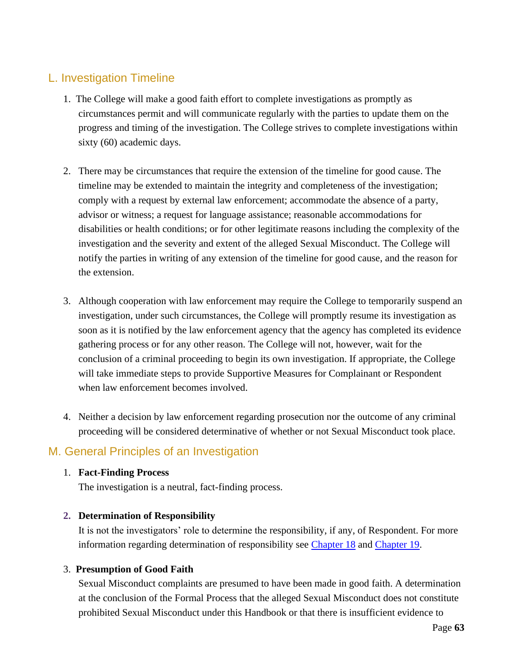### L. Investigation Timeline

- 1. The College will make a good faith effort to complete investigations as promptly as circumstances permit and will communicate regularly with the parties to update them on the progress and timing of the investigation. The College strives to complete investigations within sixty (60) academic days.
- 2. There may be circumstances that require the extension of the timeline for good cause. The timeline may be extended to maintain the integrity and completeness of the investigation; comply with a request by external law enforcement; accommodate the absence of a party, advisor or witness; a request for language assistance; reasonable accommodations for disabilities or health conditions; or for other legitimate reasons including the complexity of the investigation and the severity and extent of the alleged Sexual Misconduct. The College will notify the parties in writing of any extension of the timeline for good cause, and the reason for the extension.
- 3. Although cooperation with law enforcement may require the College to temporarily suspend an investigation, under such circumstances, the College will promptly resume its investigation as soon as it is notified by the law enforcement agency that the agency has completed its evidence gathering process or for any other reason. The College will not, however, wait for the conclusion of a criminal proceeding to begin its own investigation. If appropriate, the College will take immediate steps to provide Supportive Measures for Complainant or Respondent when law enforcement becomes involved.
- 4. Neither a decision by law enforcement regarding prosecution nor the outcome of any criminal proceeding will be considered determinative of whether or not Sexual Misconduct took place.

### M. General Principles of an Investigation

#### 1. **Fact-Finding Process**

The investigation is a neutral, fact-finding process.

#### **2. Determination of Responsibility**

It is not the investigators' role to determine the responsibility, if any, of Respondent. For more information regarding determination of responsibility see [Chapter 18](#page-66-0) and [Chapter 19.](#page-70-0)

#### 3. **Presumption of Good Faith**

Sexual Misconduct complaints are presumed to have been made in good faith. A determination at the conclusion of the Formal Process that the alleged Sexual Misconduct does not constitute prohibited Sexual Misconduct under this Handbook or that there is insufficient evidence to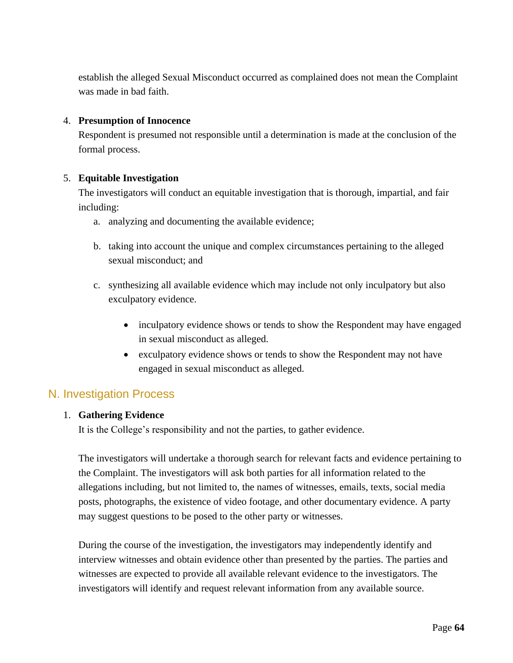establish the alleged Sexual Misconduct occurred as complained does not mean the Complaint was made in bad faith.

#### 4. **Presumption of Innocence**

Respondent is presumed not responsible until a determination is made at the conclusion of the formal process.

#### 5. **Equitable Investigation**

The investigators will conduct an equitable investigation that is thorough, impartial, and fair including:

- a. analyzing and documenting the available evidence;
- b. taking into account the unique and complex circumstances pertaining to the alleged sexual misconduct; and
- c. synthesizing all available evidence which may include not only inculpatory but also exculpatory evidence.
	- inculpatory evidence shows or tends to show the Respondent may have engaged in sexual misconduct as alleged.
	- exculpatory evidence shows or tends to show the Respondent may not have engaged in sexual misconduct as alleged.

### N. Investigation Process

#### 1. **Gathering Evidence**

It is the College's responsibility and not the parties, to gather evidence.

The investigators will undertake a thorough search for relevant facts and evidence pertaining to the Complaint. The investigators will ask both parties for all information related to the allegations including, but not limited to, the names of witnesses, emails, texts, social media posts, photographs, the existence of video footage, and other documentary evidence. A party may suggest questions to be posed to the other party or witnesses.

During the course of the investigation, the investigators may independently identify and interview witnesses and obtain evidence other than presented by the parties. The parties and witnesses are expected to provide all available relevant evidence to the investigators. The investigators will identify and request relevant information from any available source.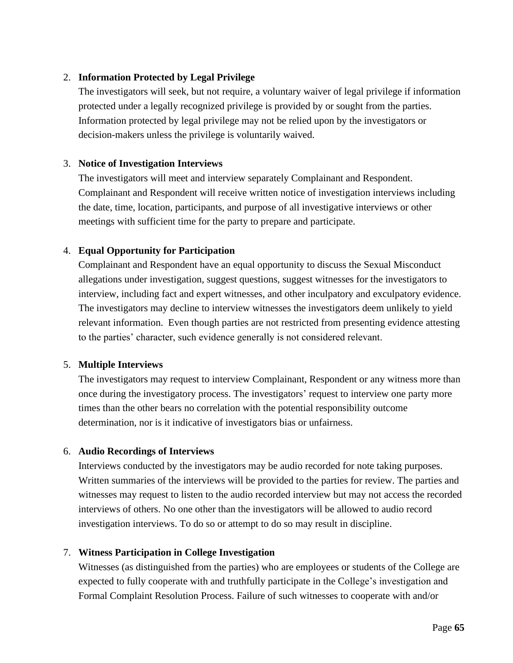#### 2. **Information Protected by Legal Privilege**

The investigators will seek, but not require, a voluntary waiver of legal privilege if information protected under a legally recognized privilege is provided by or sought from the parties. Information protected by legal privilege may not be relied upon by the investigators or decision-makers unless the privilege is voluntarily waived.

#### 3. **Notice of Investigation Interviews**

The investigators will meet and interview separately Complainant and Respondent. Complainant and Respondent will receive written notice of investigation interviews including the date, time, location, participants, and purpose of all investigative interviews or other meetings with sufficient time for the party to prepare and participate.

#### 4. **Equal Opportunity for Participation**

Complainant and Respondent have an equal opportunity to discuss the Sexual Misconduct allegations under investigation, suggest questions, suggest witnesses for the investigators to interview, including fact and expert witnesses, and other inculpatory and exculpatory evidence. The investigators may decline to interview witnesses the investigators deem unlikely to yield relevant information. Even though parties are not restricted from presenting evidence attesting to the parties' character, such evidence generally is not considered relevant.

#### 5. **Multiple Interviews**

The investigators may request to interview Complainant, Respondent or any witness more than once during the investigatory process. The investigators' request to interview one party more times than the other bears no correlation with the potential responsibility outcome determination, nor is it indicative of investigators bias or unfairness.

#### 6. **Audio Recordings of Interviews**

Interviews conducted by the investigators may be audio recorded for note taking purposes. Written summaries of the interviews will be provided to the parties for review. The parties and witnesses may request to listen to the audio recorded interview but may not access the recorded interviews of others. No one other than the investigators will be allowed to audio record investigation interviews. To do so or attempt to do so may result in discipline.

#### 7. **Witness Participation in College Investigation**

Witnesses (as distinguished from the parties) who are employees or students of the College are expected to fully cooperate with and truthfully participate in the College's investigation and Formal Complaint Resolution Process. Failure of such witnesses to cooperate with and/or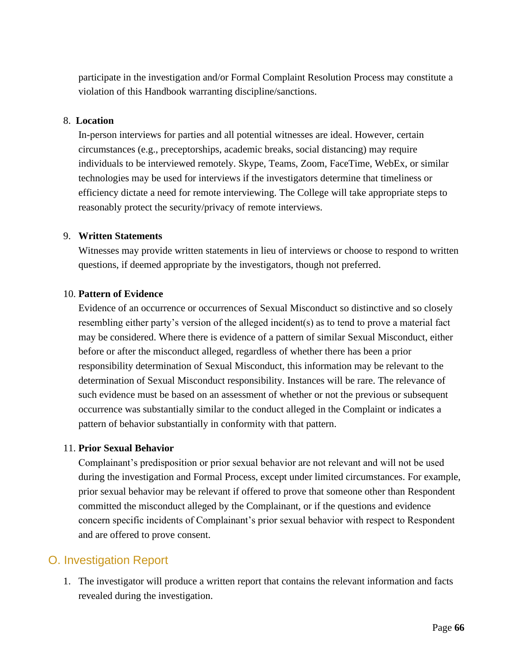participate in the investigation and/or Formal Complaint Resolution Process may constitute a violation of this Handbook warranting discipline/sanctions.

#### 8. **Location**

In-person interviews for parties and all potential witnesses are ideal. However, certain circumstances (e.g., preceptorships, academic breaks, social distancing) may require individuals to be interviewed remotely. Skype, Teams, Zoom, FaceTime, WebEx, or similar technologies may be used for interviews if the investigators determine that timeliness or efficiency dictate a need for remote interviewing. The College will take appropriate steps to reasonably protect the security/privacy of remote interviews.

#### 9. **Written Statements**

Witnesses may provide written statements in lieu of interviews or choose to respond to written questions, if deemed appropriate by the investigators, though not preferred.

#### 10. **Pattern of Evidence**

Evidence of an occurrence or occurrences of Sexual Misconduct so distinctive and so closely resembling either party's version of the alleged incident(s) as to tend to prove a material fact may be considered. Where there is evidence of a pattern of similar Sexual Misconduct, either before or after the misconduct alleged, regardless of whether there has been a prior responsibility determination of Sexual Misconduct, this information may be relevant to the determination of Sexual Misconduct responsibility. Instances will be rare. The relevance of such evidence must be based on an assessment of whether or not the previous or subsequent occurrence was substantially similar to the conduct alleged in the Complaint or indicates a pattern of behavior substantially in conformity with that pattern.

#### 11. **Prior Sexual Behavior**

Complainant's predisposition or prior sexual behavior are not relevant and will not be used during the investigation and Formal Process, except under limited circumstances. For example, prior sexual behavior may be relevant if offered to prove that someone other than Respondent committed the misconduct alleged by the Complainant, or if the questions and evidence concern specific incidents of Complainant's prior sexual behavior with respect to Respondent and are offered to prove consent.

### O. Investigation Report

1. The investigator will produce a written report that contains the relevant information and facts revealed during the investigation.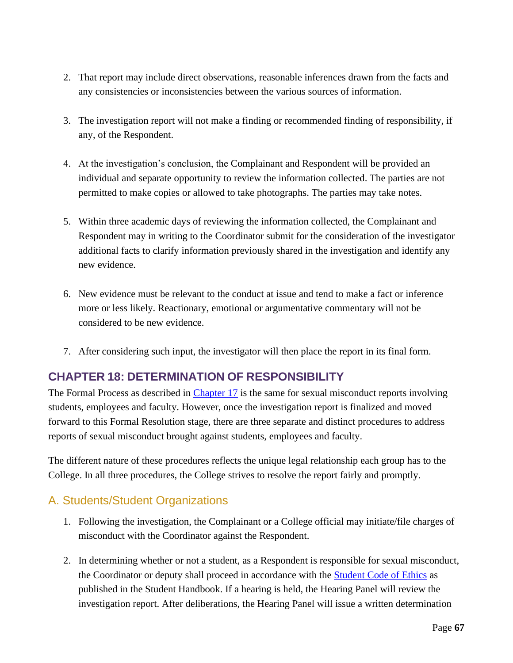- 2. That report may include direct observations, reasonable inferences drawn from the facts and any consistencies or inconsistencies between the various sources of information.
- 3. The investigation report will not make a finding or recommended finding of responsibility, if any, of the Respondent.
- 4. At the investigation's conclusion, the Complainant and Respondent will be provided an individual and separate opportunity to review the information collected. The parties are not permitted to make copies or allowed to take photographs. The parties may take notes.
- 5. Within three academic days of reviewing the information collected, the Complainant and Respondent may in writing to the Coordinator submit for the consideration of the investigator additional facts to clarify information previously shared in the investigation and identify any new evidence.
- 6. New evidence must be relevant to the conduct at issue and tend to make a fact or inference more or less likely. Reactionary, emotional or argumentative commentary will not be considered to be new evidence.
- 7. After considering such input, the investigator will then place the report in its final form.

# <span id="page-66-0"></span>**CHAPTER 18: DETERMINATION OF RESPONSIBILITY**

The Formal Process as described in [Chapter 17](#page-58-0) is the same for sexual misconduct reports involving students, employees and faculty. However, once the investigation report is finalized and moved forward to this Formal Resolution stage, there are three separate and distinct procedures to address reports of sexual misconduct brought against students, employees and faculty.

The different nature of these procedures reflects the unique legal relationship each group has to the College. In all three procedures, the College strives to resolve the report fairly and promptly.

# A. Students/Student Organizations

- 1. Following the investigation, the Complainant or a College official may initiate/file charges of misconduct with the Coordinator against the Respondent.
- 2. In determining whether or not a student, as a Respondent is responsible for sexual misconduct, the Coordinator or deputy shall proceed in accordance with the **Student Code of Ethics** [as](http://www.palmer.edu/uploadedfiles/pages/marketing/publications/official_college_documents/student_handbook.pdf#page=34) published in the Student Handbook. [If a hearing is held, the Hearing Panel will review the](http://www.palmer.edu/uploadedfiles/pages/marketing/publications/official_college_documents/student_handbook.pdf#page=34) [investigation report. After deliberations, the Hearing Panel](http://www.palmer.edu/uploadedfiles/pages/marketing/publications/official_college_documents/student_handbook.pdf#page=34) will issue a written determination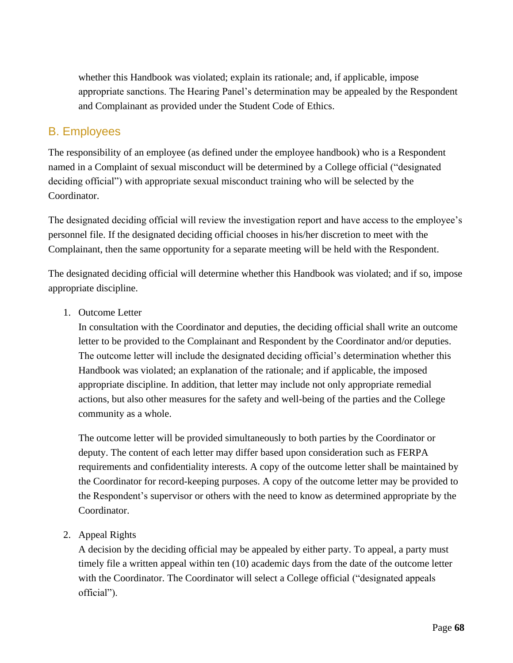whether this [Handbook was violated; explain its rationale; and, if applicable, impose](http://www.palmer.edu/uploadedfiles/pages/marketing/publications/official_college_documents/student_handbook.pdf#page=34)  [appropriate sanctions. The Hearing Panel's determination may be](http://www.palmer.edu/uploadedfiles/pages/marketing/publications/official_college_documents/student_handbook.pdf#page=34) appealed by the Respondent and Complainant as provided under the [Student Code of Ethics.](http://www.palmer.edu/uploadedfiles/pages/marketing/publications/official_college_documents/student_handbook.pdf#page=34) 

### B. Employees

The responsibility of an employee (as defined under the employee handbook) who is a Respondent named in a Complaint of sexual misconduct will be determined by a College official ("designated deciding official") with appropriate sexual misconduct training who will be selected by the Coordinator.

The designated deciding official will review the investigation report and have access to the employee's personnel file. If the designated deciding official chooses in his/her discretion to meet with the Complainant, then the same opportunity for a separate meeting will be held with the Respondent.

The designated deciding official will determine whether this Handbook was violated; and if so, impose appropriate discipline.

1. Outcome Letter

In consultation with the Coordinator and deputies, the deciding official shall write an outcome letter to be provided to the Complainant and Respondent by the Coordinator and/or deputies. The outcome letter will include the designated deciding official's determination whether this Handbook was violated; an explanation of the rationale; and if applicable, the imposed appropriate discipline. In addition, that letter may include not only appropriate remedial actions, but also other measures for the safety and well-being of the parties and the College community as a whole.

The outcome letter will be provided simultaneously to both parties by the Coordinator or deputy. The content of each letter may differ based upon consideration such as FERPA requirements and confidentiality interests. A copy of the outcome letter shall be maintained by the Coordinator for record-keeping purposes. A copy of the outcome letter may be provided to the Respondent's supervisor or others with the need to know as determined appropriate by the Coordinator.

2. Appeal Rights

A decision by the deciding official may be appealed by either party. To appeal, a party must timely file a written appeal within ten (10) academic days from the date of the outcome letter with the Coordinator. The Coordinator will select a College official ("designated appeals official").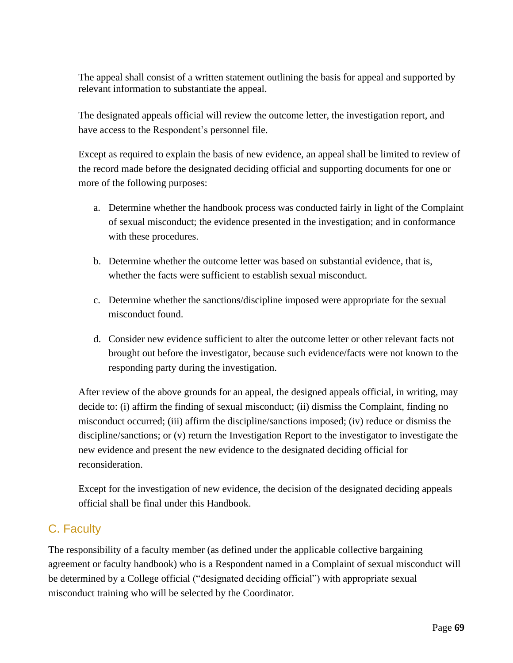The appeal shall consist of a written statement outlining the basis for appeal and supported by relevant information to substantiate the appeal.

The designated appeals official will review the outcome letter, the investigation report, and have access to the Respondent's personnel file.

Except as required to explain the basis of new evidence, an appeal shall be limited to review of the record made before the designated deciding official and supporting documents for one or more of the following purposes:

- a. Determine whether the handbook process was conducted fairly in light of the Complaint of sexual misconduct; the evidence presented in the investigation; and in conformance with these procedures.
- b. Determine whether the outcome letter was based on substantial evidence, that is, whether the facts were sufficient to establish sexual misconduct.
- c. Determine whether the sanctions/discipline imposed were appropriate for the sexual misconduct found.
- d. Consider new evidence sufficient to alter the outcome letter or other relevant facts not brought out before the investigator, because such evidence/facts were not known to the responding party during the investigation.

After review of the above grounds for an appeal, the designed appeals official, in writing, may decide to: (i) affirm the finding of sexual misconduct; (ii) dismiss the Complaint, finding no misconduct occurred; (iii) affirm the discipline/sanctions imposed; (iv) reduce or dismiss the discipline/sanctions; or (v) return the Investigation Report to the investigator to investigate the new evidence and present the new evidence to the designated deciding official for reconsideration.

Except for the investigation of new evidence, the decision of the designated deciding appeals official shall be final under this Handbook.

# C. Faculty

The responsibility of a faculty member (as defined under the applicable collective bargaining agreement or faculty handbook) who is a Respondent named in a Complaint of sexual misconduct will be determined by a College official ("designated deciding official") with appropriate sexual misconduct training who will be selected by the Coordinator.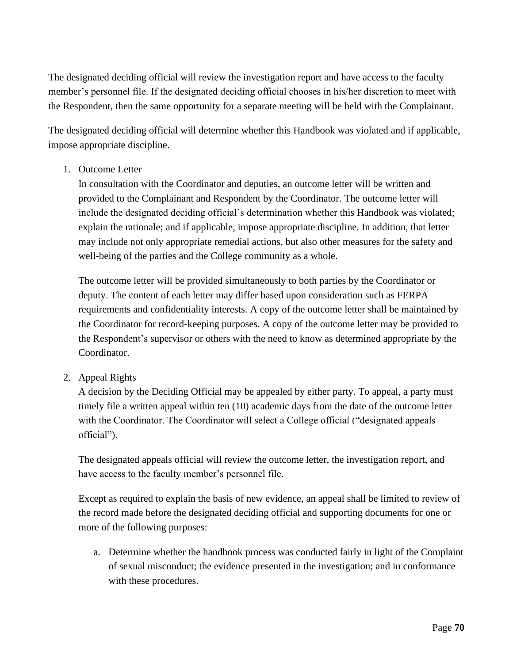The designated deciding official will review the investigation report and have access to the faculty member's personnel file. If the designated deciding official chooses in his/her discretion to meet with the Respondent, then the same opportunity for a separate meeting will be held with the Complainant.

The designated deciding official will determine whether this Handbook was violated and if applicable, impose appropriate discipline.

1. Outcome Letter

In consultation with the Coordinator and deputies, an outcome letter will be written and provided to the Complainant and Respondent by the Coordinator. The outcome letter will include the designated deciding official's determination whether this Handbook was violated; explain the rationale; and if applicable, impose appropriate discipline. In addition, that letter may include not only appropriate remedial actions, but also other measures for the safety and well-being of the parties and the College community as a whole.

The outcome letter will be provided simultaneously to both parties by the Coordinator or deputy. The content of each letter may differ based upon consideration such as FERPA requirements and confidentiality interests. A copy of the outcome letter shall be maintained by the Coordinator for record-keeping purposes. A copy of the outcome letter may be provided to the Respondent's supervisor or others with the need to know as determined appropriate by the Coordinator.

2. Appeal Rights

A decision by the Deciding Official may be appealed by either party. To appeal, a party must timely file a written appeal within ten (10) academic days from the date of the outcome letter with the Coordinator. The Coordinator will select a College official ("designated appeals official").

The designated appeals official will review the outcome letter, the investigation report, and have access to the faculty member's personnel file.

Except as required to explain the basis of new evidence, an appeal shall be limited to review of the record made before the designated deciding official and supporting documents for one or more of the following purposes:

a. Determine whether the handbook process was conducted fairly in light of the Complaint of sexual misconduct; the evidence presented in the investigation; and in conformance with these procedures.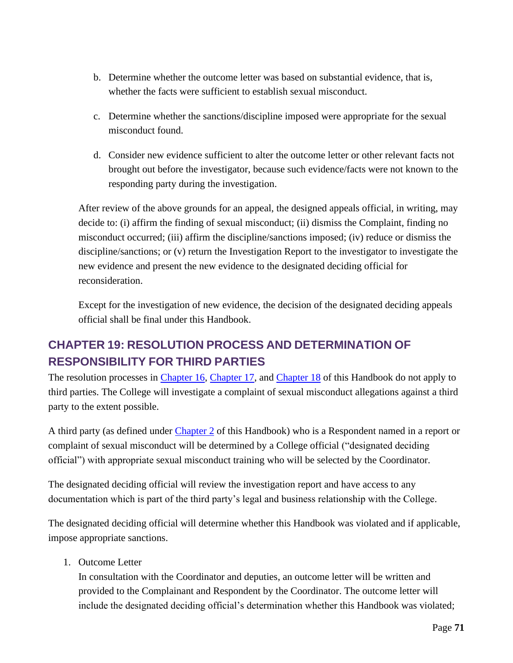- b. Determine whether the outcome letter was based on substantial evidence, that is, whether the facts were sufficient to establish sexual misconduct.
- c. Determine whether the sanctions/discipline imposed were appropriate for the sexual misconduct found.
- d. Consider new evidence sufficient to alter the outcome letter or other relevant facts not brought out before the investigator, because such evidence/facts were not known to the responding party during the investigation.

After review of the above grounds for an appeal, the designed appeals official, in writing, may decide to: (i) affirm the finding of sexual misconduct; (ii) dismiss the Complaint, finding no misconduct occurred; (iii) affirm the discipline/sanctions imposed; (iv) reduce or dismiss the discipline/sanctions; or (v) return the Investigation Report to the investigator to investigate the new evidence and present the new evidence to the designated deciding official for reconsideration.

Except for the investigation of new evidence, the decision of the designated deciding appeals official shall be final under this Handbook.

# <span id="page-70-0"></span>**CHAPTER 19: RESOLUTION PROCESS AND DETERMINATION OF RESPONSIBILITY FOR THIRD PARTIES**

The resolution processes in [Chapter 16,](#page-56-0) [Chapter 17,](#page-58-0) and [Chapter 18](#page-58-0) of this Handbook do not apply to third parties. The College will investigate a complaint of sexual misconduct allegations against a third party to the extent possible.

A third party (as defined under [Chapter 2](#page-9-0) of this Handbook) who is a Respondent named in a report or complaint of sexual misconduct will be determined by a College official ("designated deciding official") with appropriate sexual misconduct training who will be selected by the Coordinator.

The designated deciding official will review the investigation report and have access to any documentation which is part of the third party's legal and business relationship with the College.

The designated deciding official will determine whether this Handbook was violated and if applicable, impose appropriate sanctions.

1. Outcome Letter

In consultation with the Coordinator and deputies, an outcome letter will be written and provided to the Complainant and Respondent by the Coordinator. The outcome letter will include the designated deciding official's determination whether this Handbook was violated;